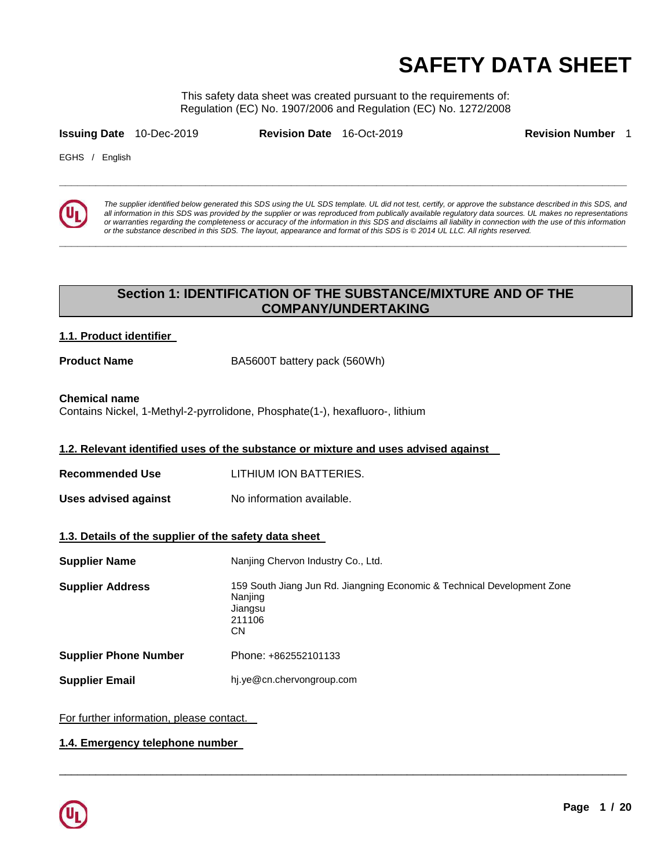# **SAFETY DATA SHEET**

This safety data sheet was created pursuant to the requirements of: Regulation (EC) No. 1907/2006 and Regulation (EC) No. 1272/2008

**\_\_\_\_\_\_\_\_\_\_\_\_\_\_\_\_\_\_\_\_\_\_\_\_\_\_\_\_\_\_\_\_\_\_\_\_\_\_\_\_\_\_\_\_\_\_\_\_\_\_\_\_\_\_\_\_\_\_\_\_\_\_\_\_\_\_\_\_\_\_\_\_\_\_\_\_\_\_\_\_\_\_\_\_\_\_\_\_\_\_\_\_\_** 

**\_\_\_\_\_\_\_\_\_\_\_\_\_\_\_\_\_\_\_\_\_\_\_\_\_\_\_\_\_\_\_\_\_\_\_\_\_\_\_\_\_\_\_\_\_\_\_\_\_\_\_\_\_\_\_\_\_\_\_\_\_\_\_\_\_\_\_\_\_\_\_\_\_\_\_\_\_\_\_\_\_\_\_\_\_\_\_\_\_\_\_\_\_** 

**Issuing Date** 10-Dec-2019 **Revision Date** 16-Oct-2019 **Revision Number** 1

EGHS / English



The supplier identified below generated this SDS using the UL SDS template. UL did not test, certify, or approve the substance described in this SDS, and all information in this SDS was provided by the supplier or was reproduced from publically available regulatory data sources. UL makes no representations or warranties regarding the completeness or accuracy of the information in this SDS and disclaims all liability in connection with the use of this information or the substance described in this SDS. The layout, appearance and format of this SDS is © 2014 UL LLC. All rights reserved.

# **Section 1: IDENTIFICATION OF THE SUBSTANCE/MIXTURE AND OF THE COMPANY/UNDERTAKING**

### **1.1. Product identifier**

**Product Name BA5600T** battery pack (560Wh)

# **Chemical name**

Contains Nickel, 1-Methyl-2-pyrrolidone, Phosphate(1-), hexafluoro-, lithium

### **1.2. Relevant identified uses of the substance or mixture and uses advised against**

- **Recommended Use** LITHIUM ION BATTERIES.
- **Uses advised against No information available.**

# **1.3. Details of the supplier of the safety data sheet**

| <b>Supplier Name</b>         | Nanjing Chervon Industry Co., Ltd.                                                                            |
|------------------------------|---------------------------------------------------------------------------------------------------------------|
| <b>Supplier Address</b>      | 159 South Jiang Jun Rd. Jiangning Economic & Technical Development Zone<br>Nanjing<br>Jiangsu<br>211106<br>СN |
| <b>Supplier Phone Number</b> | Phone: +862552101133                                                                                          |
| <b>Supplier Email</b>        | hj.ye@cn.chervongroup.com                                                                                     |

\_\_\_\_\_\_\_\_\_\_\_\_\_\_\_\_\_\_\_\_\_\_\_\_\_\_\_\_\_\_\_\_\_\_\_\_\_\_\_\_\_\_\_\_\_\_\_\_\_\_\_\_\_\_\_\_\_\_\_\_\_\_\_\_\_\_\_\_\_\_\_\_\_\_\_\_\_\_\_\_\_\_\_\_\_\_\_\_\_\_\_\_\_

For further information, please contact.

### **1.4. Emergency telephone number**

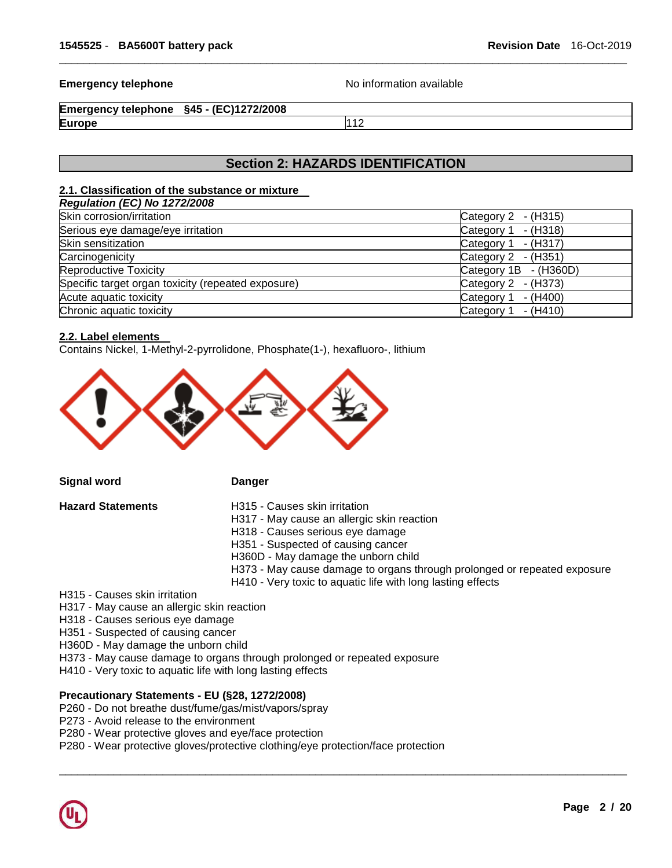#### **Emergency telephone No information available No** information available

```
Emergency telephone §45 - (EC)1272/2008 
Europe 112
```
# **Section 2: HAZARDS IDENTIFICATION**

\_\_\_\_\_\_\_\_\_\_\_\_\_\_\_\_\_\_\_\_\_\_\_\_\_\_\_\_\_\_\_\_\_\_\_\_\_\_\_\_\_\_\_\_\_\_\_\_\_\_\_\_\_\_\_\_\_\_\_\_\_\_\_\_\_\_\_\_\_\_\_\_\_\_\_\_\_\_\_\_\_\_\_\_\_\_\_\_\_\_\_\_\_

#### **2.1. Classification of the substance or mixture**

| - (H315)<br>Category 2 |
|------------------------|
| - (H318)<br>Category 1 |
| Category 1<br>- (H317) |
| Category 2 - (H351)    |
| Category 1B - (H360D)  |
| Category 2<br>- (H373) |
| Category 1<br>- (H400) |
| - (H410)<br>Category 1 |
|                        |

#### **2.2. Label elements**

Contains Nickel, 1-Methyl-2-pyrrolidone, Phosphate(1-), hexafluoro-, lithium



**Signal word Danger Construction Danger** 

- **Hazard Statements** H315 Causes skin irritation
	- H317 May cause an allergic skin reaction
	- H318 Causes serious eye damage
	- H351 Suspected of causing cancer
	- H360D May damage the unborn child
	- H373 May cause damage to organs through prolonged or repeated exposure
	- H410 Very toxic to aquatic life with long lasting effects

\_\_\_\_\_\_\_\_\_\_\_\_\_\_\_\_\_\_\_\_\_\_\_\_\_\_\_\_\_\_\_\_\_\_\_\_\_\_\_\_\_\_\_\_\_\_\_\_\_\_\_\_\_\_\_\_\_\_\_\_\_\_\_\_\_\_\_\_\_\_\_\_\_\_\_\_\_\_\_\_\_\_\_\_\_\_\_\_\_\_\_\_\_

H315 - Causes skin irritation

H317 - May cause an allergic skin reaction

H318 - Causes serious eye damage

H351 - Suspected of causing cancer

H360D - May damage the unborn child

- H373 May cause damage to organs through prolonged or repeated exposure
- H410 Very toxic to aquatic life with long lasting effects

# **Precautionary Statements - EU (§28, 1272/2008)**

- P260 Do not breathe dust/fume/gas/mist/vapors/spray
- P273 Avoid release to the environment
- P280 Wear protective gloves and eye/face protection
- P280 Wear protective gloves/protective clothing/eye protection/face protection

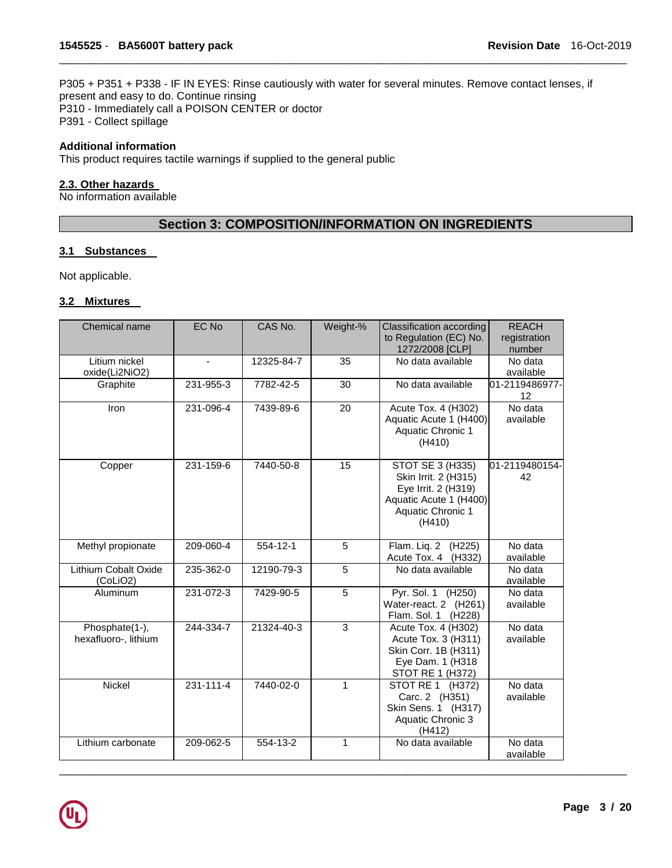P305 + P351 + P338 - IF IN EYES: Rinse cautiously with water for several minutes. Remove contact lenses, if present and easy to do. Continue rinsing P310 - Immediately call a POISON CENTER or doctor P391 - Collect spillage

\_\_\_\_\_\_\_\_\_\_\_\_\_\_\_\_\_\_\_\_\_\_\_\_\_\_\_\_\_\_\_\_\_\_\_\_\_\_\_\_\_\_\_\_\_\_\_\_\_\_\_\_\_\_\_\_\_\_\_\_\_\_\_\_\_\_\_\_\_\_\_\_\_\_\_\_\_\_\_\_\_\_\_\_\_\_\_\_\_\_\_\_\_

# **Additional information**

This product requires tactile warnings if supplied to the general public

#### **2.3. Other hazards**

No information available

# **Section 3: COMPOSITION/INFORMATION ON INGREDIENTS**

#### **3.1 Substances**

Not applicable.

# **3.2 Mixtures**

| Chemical name                           | EC No          | CAS No.    | Weight-%        | Classification according<br>to Regulation (EC) No.<br>1272/2008 [CLP]                                                    | <b>REACH</b><br>registration<br>number |
|-----------------------------------------|----------------|------------|-----------------|--------------------------------------------------------------------------------------------------------------------------|----------------------------------------|
| Litium nickel<br>oxide(Li2NiO2)         | $\blacksquare$ | 12325-84-7 | 35              | No data available                                                                                                        | No data<br>available                   |
| Graphite                                | 231-955-3      | 7782-42-5  | 30              | No data available                                                                                                        | 01-2119486977-<br>12                   |
| Iron                                    | 231-096-4      | 7439-89-6  | 20              | Acute Tox. 4 (H302)<br>Aquatic Acute 1 (H400)<br>Aquatic Chronic 1<br>(H410)                                             | No data<br>available                   |
| Copper                                  | 231-159-6      | 7440-50-8  | $\overline{15}$ | STOT SE 3 (H335)<br>Skin Irrit. 2 (H315)<br>Eye Irrit. 2 (H319)<br>Aquatic Acute 1 (H400)<br>Aquatic Chronic 1<br>(H410) | 01-2119480154-<br>42                   |
| Methyl propionate                       | 209-060-4      | 554-12-1   | 5               | Flam. Lig. 2 (H225)<br>Acute Tox. 4 (H332)                                                                               | No data<br>available                   |
| <b>Lithium Cobalt Oxide</b><br>(CoLiO2) | 235-362-0      | 12190-79-3 | 5               | No data available                                                                                                        | No data<br>available                   |
| Aluminum                                | 231-072-3      | 7429-90-5  | 5               | Pyr. Sol. 1 (H250)<br>Water-react. 2 (H261)<br>Flam. Sol. 1<br>(H <sub>228</sub> )                                       | No data<br>available                   |
| Phosphate(1-),<br>hexafluoro-, lithium  | 244-334-7      | 21324-40-3 | 3               | Acute Tox. 4 (H302)<br>Acute Tox. 3 (H311)<br>Skin Corr. 1B (H311)<br>Eye Dam. 1 (H318<br>STOT RE 1 (H372)               | No data<br>available                   |
| Nickel                                  | 231-111-4      | 7440-02-0  | 1               | STOT RE 1 (H372)<br>Carc. 2 (H351)<br>Skin Sens. 1 (H317)<br>Aquatic Chronic 3<br>(H412)                                 | No data<br>available                   |
| Lithium carbonate                       | 209-062-5      | 554-13-2   | 1               | No data available                                                                                                        | $\overline{N}$ o data<br>available     |

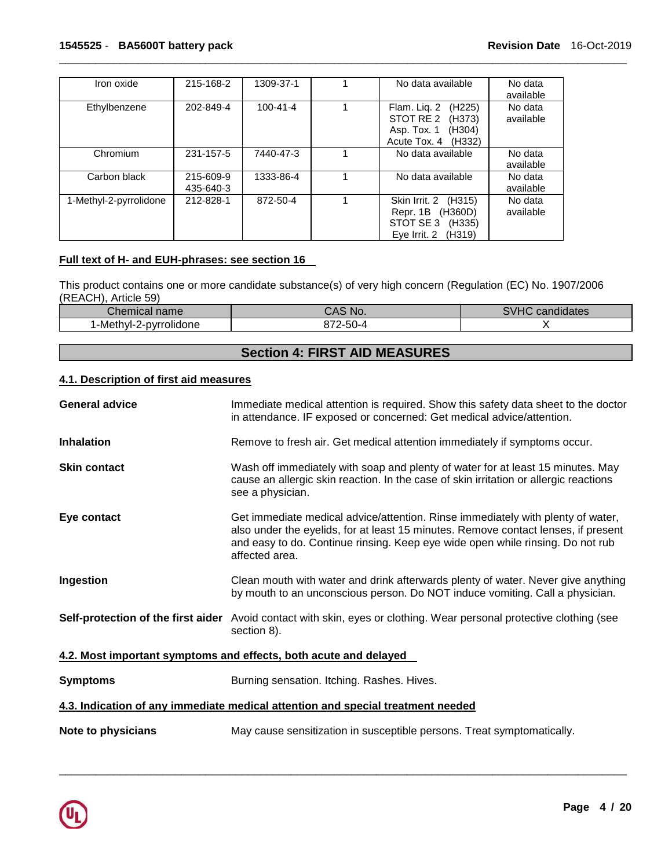| Iron oxide             | 215-168-2 | 1309-37-1      | No data available                   | No data   |
|------------------------|-----------|----------------|-------------------------------------|-----------|
|                        |           |                |                                     | available |
|                        |           |                |                                     |           |
| Ethylbenzene           | 202-849-4 | $100 - 41 - 4$ | Flam. Lig. 2<br>(H <sub>225</sub> ) | No data   |
|                        |           |                | STOT RE 2<br>(H373)                 | available |
|                        |           |                |                                     |           |
|                        |           |                | Asp. Tox. 1<br>(H304)               |           |
|                        |           |                | Acute Tox, 4<br>(H332)              |           |
|                        |           |                |                                     |           |
| Chromium               | 231-157-5 | 7440-47-3      | No data available                   | No data   |
|                        |           |                |                                     | available |
|                        |           |                |                                     |           |
| Carbon black           | 215-609-9 | 1333-86-4      | No data available                   | No data   |
|                        | 435-640-3 |                |                                     | available |
| 1-Methyl-2-pyrrolidone | 212-828-1 | 872-50-4       | Skin Irrit. 2<br>(H315)             | No data   |
|                        |           |                |                                     |           |
|                        |           |                | Repr. 1B<br>(H360D)                 | available |
|                        |           |                | STOT SE 3<br>(H335)                 |           |
|                        |           |                | Eye Irrit. 2<br>(H319)              |           |
|                        |           |                |                                     |           |

# **Full text of H- and EUH-phrases: see section 16**

This product contains one or more candidate substance(s) of very high concern (Regulation (EC) No. 1907/2006 (REACH), Article 59)

| $\sim$<br>Chemical name | CAS<br>NO.                             | C <sub>1</sub> 1 <sub>1</sub><br>$\cdot$ $\cdot$<br>candidates<br>۷۴ د |
|-------------------------|----------------------------------------|------------------------------------------------------------------------|
| 1-Methyl-2-pyrrolidone  | $ \sim$<br>2-5C<br>$-1$<br><u>ລ/ ∠</u> |                                                                        |

# **Section 4: FIRST AID MEASURES**

# **4.1. Description of first aid measures**

| <b>General advice</b> | Immediate medical attention is required. Show this safety data sheet to the doctor<br>in attendance. IF exposed or concerned: Get medical advice/attention.                                                                                                               |
|-----------------------|---------------------------------------------------------------------------------------------------------------------------------------------------------------------------------------------------------------------------------------------------------------------------|
| <b>Inhalation</b>     | Remove to fresh air. Get medical attention immediately if symptoms occur.                                                                                                                                                                                                 |
| <b>Skin contact</b>   | Wash off immediately with soap and plenty of water for at least 15 minutes. May<br>cause an allergic skin reaction. In the case of skin irritation or allergic reactions<br>see a physician.                                                                              |
| Eye contact           | Get immediate medical advice/attention. Rinse immediately with plenty of water,<br>also under the eyelids, for at least 15 minutes. Remove contact lenses, if present<br>and easy to do. Continue rinsing. Keep eye wide open while rinsing. Do not rub<br>affected area. |
| Ingestion             | Clean mouth with water and drink afterwards plenty of water. Never give anything<br>by mouth to an unconscious person. Do NOT induce vomiting. Call a physician.                                                                                                          |
|                       | Self-protection of the first aider Avoid contact with skin, eyes or clothing. Wear personal protective clothing (see<br>section 8).                                                                                                                                       |
|                       | 4.2. Most important symptoms and effects, both acute and delayed                                                                                                                                                                                                          |
| <b>Symptoms</b>       | Burning sensation. Itching. Rashes. Hives.                                                                                                                                                                                                                                |
|                       | 4.3. Indication of any immediate medical attention and special treatment needed                                                                                                                                                                                           |
| Note to physicians    | May cause sensitization in susceptible persons. Treat symptomatically.                                                                                                                                                                                                    |

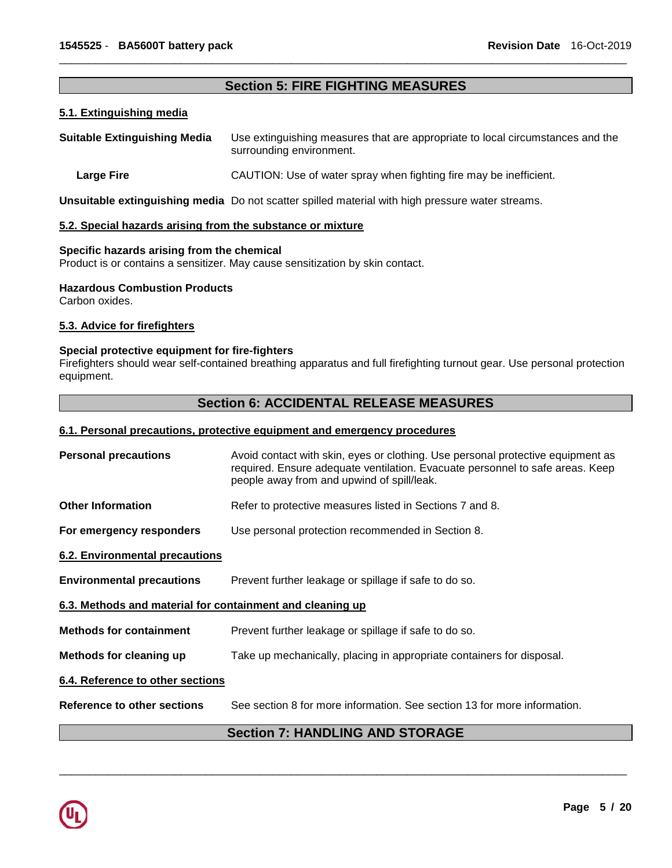# **Section 5: FIRE FIGHTING MEASURES**

\_\_\_\_\_\_\_\_\_\_\_\_\_\_\_\_\_\_\_\_\_\_\_\_\_\_\_\_\_\_\_\_\_\_\_\_\_\_\_\_\_\_\_\_\_\_\_\_\_\_\_\_\_\_\_\_\_\_\_\_\_\_\_\_\_\_\_\_\_\_\_\_\_\_\_\_\_\_\_\_\_\_\_\_\_\_\_\_\_\_\_\_\_

# **5.1. Extinguishing media**

| <b>Suitable Extinguishing Media</b> | Use extinguishing measures that are appropriate to local circumstances and the<br>surrounding environment. |
|-------------------------------------|------------------------------------------------------------------------------------------------------------|
| Large Fire                          | CAUTION: Use of water spray when fighting fire may be inefficient.                                         |

**Unsuitable extinguishing media** Do not scatter spilled material with high pressure water streams.

#### **5.2. Special hazards arising from the substance or mixture**

#### **Specific hazards arising from the chemical**

Product is or contains a sensitizer. May cause sensitization by skin contact.

#### **Hazardous Combustion Products**

Carbon oxides.

### **5.3. Advice for firefighters**

# **Special protective equipment for fire-fighters**

Firefighters should wear self-contained breathing apparatus and full firefighting turnout gear. Use personal protection equipment.

# **Section 6: ACCIDENTAL RELEASE MEASURES**

#### **6.1. Personal precautions, protective equipment and emergency procedures**

| <b>Personal precautions</b>                               | Avoid contact with skin, eyes or clothing. Use personal protective equipment as<br>required. Ensure adequate ventilation. Evacuate personnel to safe areas. Keep<br>people away from and upwind of spill/leak. |
|-----------------------------------------------------------|----------------------------------------------------------------------------------------------------------------------------------------------------------------------------------------------------------------|
| <b>Other Information</b>                                  | Refer to protective measures listed in Sections 7 and 8.                                                                                                                                                       |
| For emergency responders                                  | Use personal protection recommended in Section 8.                                                                                                                                                              |
| <b>6.2. Environmental precautions</b>                     |                                                                                                                                                                                                                |
| <b>Environmental precautions</b>                          | Prevent further leakage or spillage if safe to do so.                                                                                                                                                          |
| 6.3. Methods and material for containment and cleaning up |                                                                                                                                                                                                                |
| <b>Methods for containment</b>                            | Prevent further leakage or spillage if safe to do so.                                                                                                                                                          |
| Methods for cleaning up                                   | Take up mechanically, placing in appropriate containers for disposal.                                                                                                                                          |
| 6.4. Reference to other sections                          |                                                                                                                                                                                                                |
| Reference to other sections                               | See section 8 for more information. See section 13 for more information.                                                                                                                                       |
|                                                           | <b>Section 7: HANDLING AND STORAGE</b>                                                                                                                                                                         |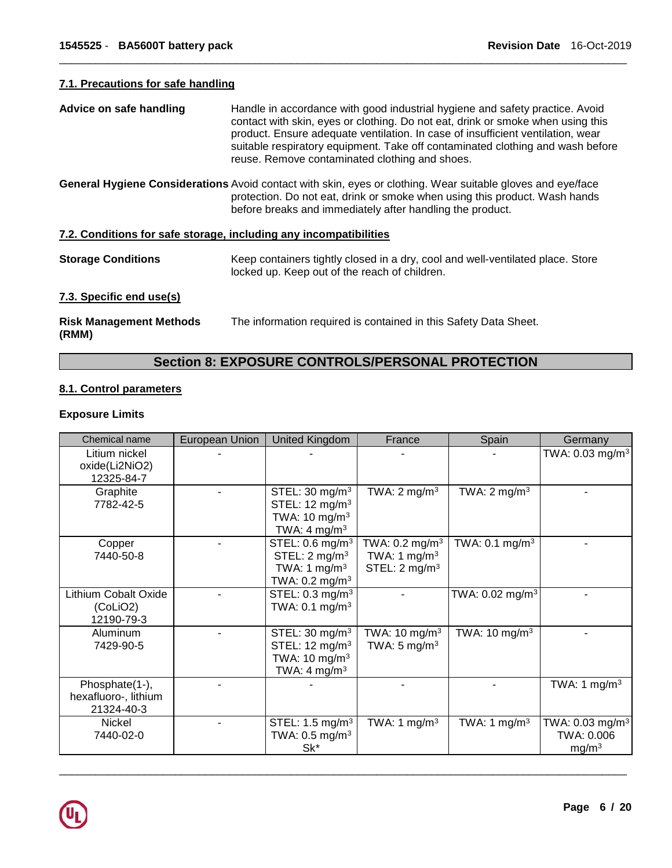# **7.1. Precautions for safe handling**

| Advice on safe handling                                           | Handle in accordance with good industrial hygiene and safety practice. Avoid<br>contact with skin, eyes or clothing. Do not eat, drink or smoke when using this<br>product. Ensure adequate ventilation. In case of insufficient ventilation, wear<br>suitable respiratory equipment. Take off contaminated clothing and wash before<br>reuse. Remove contaminated clothing and shoes. |
|-------------------------------------------------------------------|----------------------------------------------------------------------------------------------------------------------------------------------------------------------------------------------------------------------------------------------------------------------------------------------------------------------------------------------------------------------------------------|
|                                                                   | General Hygiene Considerations Avoid contact with skin, eyes or clothing. Wear suitable gloves and eye/face<br>protection. Do not eat, drink or smoke when using this product. Wash hands<br>before breaks and immediately after handling the product.                                                                                                                                 |
| 7.2. Conditions for safe storage, including any incompatibilities |                                                                                                                                                                                                                                                                                                                                                                                        |
| <b>Storage Conditions</b>                                         | Keep containers tightly closed in a dry, cool and well-ventilated place. Store<br>locked up. Keep out of the reach of children.                                                                                                                                                                                                                                                        |
| 7.3. Specific end use(s)                                          |                                                                                                                                                                                                                                                                                                                                                                                        |
| <b>Risk Management Methods</b><br>(RMM)                           | The information required is contained in this Safety Data Sheet.                                                                                                                                                                                                                                                                                                                       |

\_\_\_\_\_\_\_\_\_\_\_\_\_\_\_\_\_\_\_\_\_\_\_\_\_\_\_\_\_\_\_\_\_\_\_\_\_\_\_\_\_\_\_\_\_\_\_\_\_\_\_\_\_\_\_\_\_\_\_\_\_\_\_\_\_\_\_\_\_\_\_\_\_\_\_\_\_\_\_\_\_\_\_\_\_\_\_\_\_\_\_\_\_

# **Section 8: EXPOSURE CONTROLS/PERSONAL PROTECTION**

# **8.1. Control parameters**

# **Exposure Limits**

| Chemical name                                        | European Union | <b>United Kingdom</b>                                                                                             | France                                                                     | Spain                         | Germany                                                        |
|------------------------------------------------------|----------------|-------------------------------------------------------------------------------------------------------------------|----------------------------------------------------------------------------|-------------------------------|----------------------------------------------------------------|
| Litium nickel<br>oxide(Li2NiO2)<br>12325-84-7        |                |                                                                                                                   |                                                                            |                               | TWA: $0.03$ mg/m <sup>3</sup>                                  |
| Graphite<br>7782-42-5                                |                | STEL: $30 \text{ mg/m}^3$<br>STEL: 12 mg/m <sup>3</sup><br>TWA: $10 \text{ mg/m}^3$<br>TWA: $4 \text{ mg/m}^3$    | TWA: $2 \text{ mg/m}^3$                                                    | TWA: $2 \text{ mg/m}^3$       |                                                                |
| Copper<br>7440-50-8                                  |                | STEL: $0.6 \text{ mg/m}^3$<br>STEL: $2 \text{ mg/m}^3$<br>TWA: 1 mg/m <sup>3</sup><br>TWA: 0.2 mg/m <sup>3</sup>  | TWA: $0.2$ mg/m <sup>3</sup><br>TWA: 1 $mg/m3$<br>STEL: $2 \text{ mg/m}^3$ | TWA: $0.1 \text{ mg/m}^3$     |                                                                |
| Lithium Cobalt Oxide<br>(CoLiO2)<br>12190-79-3       |                | STEL: $0.3 \text{ mg/m}^3$<br>TWA: $0.1$ mg/m <sup>3</sup>                                                        |                                                                            | TWA: $0.02$ mg/m <sup>3</sup> |                                                                |
| Aluminum<br>7429-90-5                                |                | STEL: 30 mg/m <sup>3</sup><br>STEL: 12 mg/m <sup>3</sup><br>TWA: 10 mg/m <sup>3</sup><br>TWA: 4 mg/m <sup>3</sup> | TWA: 10 mg/m $3$<br>TWA: $5 \text{ mg/m}^3$                                | TWA: $10 \text{ mg/m}^3$      |                                                                |
| Phosphate(1-),<br>hexafluoro-, lithium<br>21324-40-3 |                |                                                                                                                   |                                                                            |                               | TWA: 1 mg/m <sup>3</sup>                                       |
| Nickel<br>7440-02-0                                  |                | STEL: $1.5 \text{ mg/m}^3$<br>TWA: $0.5$ mg/m <sup>3</sup><br>Sk*                                                 | TWA: 1 mg/m <sup>3</sup>                                                   | TWA: 1 mg/m <sup>3</sup>      | TWA: 0.03 mg/m <sup>3</sup><br>TWA: 0.006<br>mg/m <sup>3</sup> |

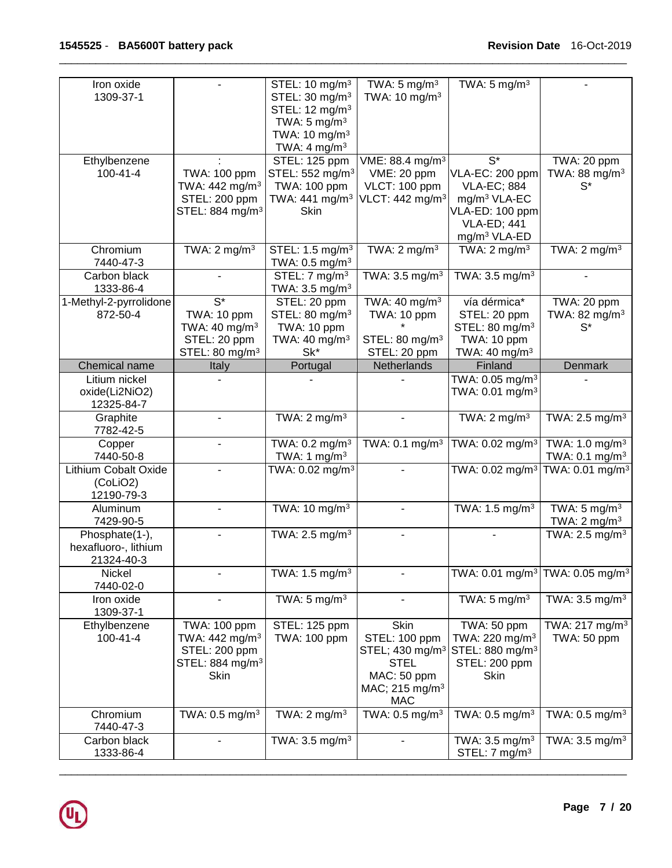| Iron oxide                          |                                              | STEL: 10 mg/m <sup>3</sup>                            | TWA: $5 \text{ mg/m}^3$                      | TWA: $5 \text{ mg/m}^3$                                                  |                                                          |
|-------------------------------------|----------------------------------------------|-------------------------------------------------------|----------------------------------------------|--------------------------------------------------------------------------|----------------------------------------------------------|
| 1309-37-1                           |                                              | STEL: 30 mg/m <sup>3</sup>                            | TWA: $10 \text{ mg/m}^3$                     |                                                                          |                                                          |
|                                     |                                              | STEL: 12 mg/m <sup>3</sup><br>TWA: $5 \text{ mg/m}^3$ |                                              |                                                                          |                                                          |
|                                     |                                              | TWA: $10 \text{ mg/m}^3$                              |                                              |                                                                          |                                                          |
|                                     |                                              | TWA: 4 mg/m <sup>3</sup>                              |                                              |                                                                          |                                                          |
| Ethylbenzene                        |                                              | STEL: 125 ppm                                         | VME: 88.4 mg/m <sup>3</sup>                  | $S^*$                                                                    | TWA: 20 ppm                                              |
| $100 - 41 - 4$                      | TWA: 100 ppm                                 | STEL: 552 mg/m <sup>3</sup>                           | VME: 20 ppm                                  | VLA-EC: 200 ppm                                                          | TWA: 88 mg/m <sup>3</sup>                                |
|                                     | TWA: $442 \text{ mg/m}^3$<br>STEL: 200 ppm   | TWA: 100 ppm<br>TWA: 441 mg/m <sup>3</sup>            | VLCT: 100 ppm<br>VLCT: 442 mg/m <sup>3</sup> | <b>VLA-EC; 884</b><br>mg/m <sup>3</sup> VLA-EC                           | $S^*$                                                    |
|                                     | STEL: 884 mg/m <sup>3</sup>                  | Skin                                                  |                                              | VLA-ED: 100 ppm                                                          |                                                          |
|                                     |                                              |                                                       |                                              | <b>VLA-ED; 441</b>                                                       |                                                          |
|                                     |                                              |                                                       |                                              | mg/m <sup>3</sup> VLA-ED                                                 |                                                          |
| Chromium                            | TWA: $2 \text{ mg/m}^3$                      | STEL: 1.5 mg/m <sup>3</sup>                           | TWA: $2 \text{ mg/m}^3$                      | TWA: $2 \text{ mg/m}^3$                                                  | TWA: $2 \text{ mg/m}^3$                                  |
| 7440-47-3                           |                                              | TWA: $0.5$ mg/m <sup>3</sup>                          |                                              |                                                                          |                                                          |
| Carbon black                        |                                              | STEL: 7 mg/m <sup>3</sup>                             | TWA: $3.5$ mg/m <sup>3</sup>                 | TWA: 3.5 mg/m <sup>3</sup>                                               |                                                          |
| 1333-86-4<br>1-Methyl-2-pyrrolidone | $S^*$                                        | TWA: $3.5 \text{ mg/m}^3$<br>STEL: 20 ppm             | TWA: 40 mg/m $3$                             | vía dérmica*                                                             | TWA: 20 ppm                                              |
| 872-50-4                            | TWA: 10 ppm                                  | STEL: 80 mg/m <sup>3</sup>                            | TWA: 10 ppm                                  | STEL: 20 ppm                                                             | TWA: 82 mg/m <sup>3</sup>                                |
|                                     | TWA: $40 \text{ mg/m}^3$                     | TWA: 10 ppm                                           |                                              | STEL: 80 mg/m <sup>3</sup>                                               | $S^*$                                                    |
|                                     | STEL: 20 ppm                                 | TWA: 40 mg/m <sup>3</sup>                             | STEL: 80 mg/m <sup>3</sup>                   | TWA: 10 ppm                                                              |                                                          |
|                                     | STEL: 80 mg/m <sup>3</sup>                   | Sk*                                                   | STEL: 20 ppm                                 | TWA: 40 mg/m <sup>3</sup>                                                |                                                          |
| Chemical name                       | Italy                                        | Portugal                                              | Netherlands                                  | Finland                                                                  | Denmark                                                  |
| Litium nickel<br>oxide(Li2NiO2)     |                                              |                                                       |                                              | TWA: 0.05 mg/m <sup>3</sup><br>TWA: 0.01 mg/m <sup>3</sup>               |                                                          |
| 12325-84-7                          |                                              |                                                       |                                              |                                                                          |                                                          |
| Graphite                            |                                              | TWA: $2 \text{ mg/m}^3$                               |                                              | TWA: $2 \text{ mg/m}^3$                                                  | TWA: $2.5 \text{ mg/m}^3$                                |
| 7782-42-5                           |                                              |                                                       |                                              |                                                                          |                                                          |
| Copper                              |                                              | TWA: $0.2$ mg/m <sup>3</sup>                          | TWA: 0.1 mg/m <sup>3</sup>                   | TWA: $0.02$ mg/m <sup>3</sup>                                            | TWA: 1.0 mg/m $3$                                        |
| 7440-50-8<br>Lithium Cobalt Oxide   |                                              | TWA: 1 mg/m <sup>3</sup>                              |                                              |                                                                          | TWA: $0.1 \text{ mg/m}^3$<br>TWA: 0.01 mg/m <sup>3</sup> |
| (CoLiO2)                            |                                              | TWA: $0.02$ mg/m <sup>3</sup>                         |                                              | TWA: 0.02 mg/m <sup>3</sup>                                              |                                                          |
| 12190-79-3                          |                                              |                                                       |                                              |                                                                          |                                                          |
| Aluminum                            |                                              | TWA: 10 $\overline{\text{mg}}/\text{m}^3$             |                                              | TWA: 1.5 mg/m <sup>3</sup>                                               | TWA: $5 \text{ mg/m}^3$                                  |
| 7429-90-5                           |                                              |                                                       |                                              |                                                                          | TWA: $2 \text{ mg/m}^3$                                  |
| Phosphate(1-),                      |                                              | TWA: $2.5$ mg/m <sup>3</sup>                          |                                              |                                                                          | TWA: $2.\overline{5}$ mg/m <sup>3</sup>                  |
| hexafluoro-, lithium                |                                              |                                                       |                                              |                                                                          |                                                          |
| 21324-40-3<br>Nickel                |                                              | TWA: $1.5 \text{ mg/m}^3$                             |                                              |                                                                          | TWA: 0.01 mg/m <sup>3</sup> TWA: 0.05 mg/m <sup>3</sup>  |
| 7440-02-0                           |                                              |                                                       |                                              |                                                                          |                                                          |
| Iron oxide                          |                                              | TWA: $5 \text{ mg/m}^3$                               |                                              | TWA: $5 \text{ mg/m}^3$                                                  | TWA: $3.5 \text{ mg/m}^3$                                |
| 1309-37-1                           |                                              |                                                       |                                              |                                                                          |                                                          |
| Ethylbenzene                        | TWA: 100 ppm                                 | STEL: 125 ppm                                         | Skin                                         | TWA: 50 ppm                                                              | TWA: 217 mg/m <sup>3</sup>                               |
| 100-41-4                            | TWA: $442 \text{ mg/m}^3$                    | TWA: 100 ppm                                          | STEL: 100 ppm                                | TWA: 220 mg/m <sup>3</sup>                                               | TWA: 50 ppm                                              |
|                                     | STEL: 200 ppm<br>STEL: 884 mg/m <sup>3</sup> |                                                       | <b>STEL</b>                                  | STEL; 430 mg/m <sup>3</sup> STEL: 880 mg/m <sup>3</sup><br>STEL: 200 ppm |                                                          |
|                                     | Skin                                         |                                                       | MAC: 50 ppm                                  | Skin                                                                     |                                                          |
|                                     |                                              |                                                       | MAC; 215 mg/m <sup>3</sup>                   |                                                                          |                                                          |
|                                     |                                              |                                                       | <b>MAC</b>                                   |                                                                          |                                                          |
| Chromium                            | TWA: $0.5 \text{ mg/m}^3$                    | TWA: $2 \text{ mg/m}^3$                               | TWA: $0.5$ mg/m <sup>3</sup>                 | TWA: $0.5$ mg/m <sup>3</sup>                                             | TWA: $0.5$ mg/m <sup>3</sup>                             |
| 7440-47-3                           |                                              |                                                       |                                              |                                                                          |                                                          |
| Carbon black                        |                                              | TWA: $3.5 \text{ mg/m}^3$                             |                                              | TWA: $3.5 \text{ mg/m}^3$                                                | TWA: $3.5 \text{ mg/m}^3$                                |
| 1333-86-4                           |                                              |                                                       |                                              | STEL: $7 \text{ mg/m}^3$                                                 |                                                          |

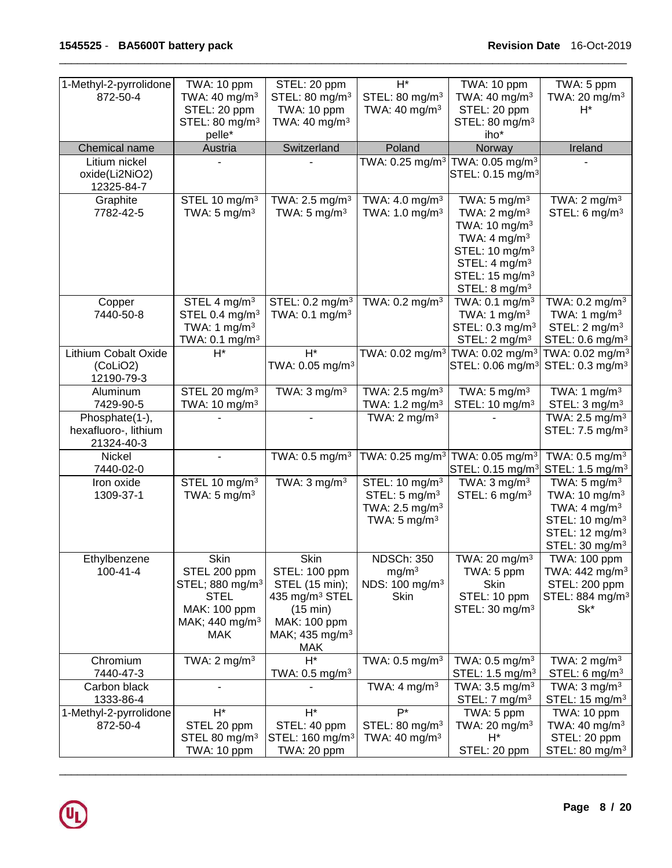| 1-Methyl-2-pyrrolidone             | TWA: 10 ppm                                | STEL: 20 ppm                                 | $H^*$                                                   | TWA: 10 ppm                                             | TWA: 5 ppm                                                 |
|------------------------------------|--------------------------------------------|----------------------------------------------|---------------------------------------------------------|---------------------------------------------------------|------------------------------------------------------------|
| 872-50-4                           | TWA: 40 mg/m <sup>3</sup>                  | STEL: 80 mg/m <sup>3</sup>                   | STEL: 80 mg/m <sup>3</sup>                              | TWA: $40 \text{ mg/m}^3$                                | TWA: 20 mg/m <sup>3</sup>                                  |
|                                    | STEL: 20 ppm                               | TWA: 10 ppm                                  | TWA: $40 \text{ mg/m}^3$                                | STEL: 20 ppm                                            | $H^*$                                                      |
|                                    | STEL: 80 mg/m <sup>3</sup>                 | TWA: $40 \text{ mg/m}^3$                     |                                                         | STEL: 80 mg/m <sup>3</sup>                              |                                                            |
|                                    | pelle*                                     |                                              |                                                         | iho*                                                    |                                                            |
| Chemical name                      | Austria                                    | Switzerland                                  | Poland                                                  | Norway                                                  | Ireland                                                    |
| Litium nickel                      |                                            |                                              |                                                         | TWA: 0.25 mg/m $^3$  TWA: 0.05 mg/m $^3$                |                                                            |
| oxide(Li2NiO2)<br>12325-84-7       |                                            |                                              |                                                         | STEL: 0.15 mg/m <sup>3</sup>                            |                                                            |
| Graphite                           | STEL 10 mg/m <sup>3</sup>                  | TWA: $2.5$ mg/m <sup>3</sup>                 | TWA: $4.0$ mg/m <sup>3</sup>                            | TWA: $5 \text{ mg/m}^3$                                 | TWA: $2 \text{ mg/m}^3$                                    |
| 7782-42-5                          | TWA: $5 \text{ mg/m}^3$                    | TWA: $5 \text{ mg/m}^3$                      | TWA: 1.0 mg/m <sup>3</sup>                              | TWA: $2 \text{ mg/m}^3$                                 | STEL: $6 \text{ mg/m}^3$                                   |
|                                    |                                            |                                              |                                                         | TWA: 10 mg/m <sup>3</sup><br>TWA: $4 \text{ mg/m}^3$    |                                                            |
|                                    |                                            |                                              |                                                         | STEL: 10 mg/m <sup>3</sup>                              |                                                            |
|                                    |                                            |                                              |                                                         | STEL: 4 mg/m <sup>3</sup>                               |                                                            |
|                                    |                                            |                                              |                                                         | STEL: 15 mg/m <sup>3</sup>                              |                                                            |
|                                    |                                            |                                              |                                                         | STEL: $8 \text{ mg/m}^3$                                |                                                            |
| Copper                             | STEL 4 mg/m <sup>3</sup>                   | STEL: 0.2 mg/m <sup>3</sup>                  | TWA: 0.2 mg/m <sup>3</sup>                              | TWA: $0.1$ mg/m <sup>3</sup>                            | TWA: $0.2$ mg/m <sup>3</sup>                               |
| 7440-50-8                          | STEL 0.4 mg/m <sup>3</sup>                 | TWA: 0.1 mg/m <sup>3</sup>                   |                                                         | TWA: 1 $mg/m3$                                          | TWA: 1 $mg/m3$                                             |
|                                    | TWA: 1 $mg/m3$                             |                                              |                                                         | STEL: $0.3$ mg/m <sup>3</sup>                           | STEL: $2 \text{ mg/m}^3$                                   |
| <b>Lithium Cobalt Oxide</b>        | TWA: 0.1 mg/m <sup>3</sup><br>$H^*$        | $H^*$                                        | TWA: 0.02 mg/m <sup>3</sup> TWA: 0.02 mg/m <sup>3</sup> | STEL: 2 mg/m <sup>3</sup>                               | STEL: 0.6 mg/m <sup>3</sup><br>TWA: 0.02 mg/m <sup>3</sup> |
| (CoLiO2)                           |                                            | TWA: 0.05 mg/m <sup>3</sup>                  |                                                         | STEL: 0.06 mg/m <sup>3</sup>                            | STEL: 0.3 mg/m <sup>3</sup>                                |
| 12190-79-3                         |                                            |                                              |                                                         |                                                         |                                                            |
| Aluminum                           | STEL 20 mg/m <sup>3</sup>                  | TWA: $3 \text{ mg/m}^3$                      | TWA: 2.5 mg/m <sup>3</sup>                              | TWA: $5 \text{ mg/m}^3$                                 | TWA: 1 $mg/m3$                                             |
| 7429-90-5                          | TWA: 10 mg/m <sup>3</sup>                  |                                              | TWA: 1.2 mg/m <sup>3</sup>                              | STEL: 10 mg/m <sup>3</sup>                              | STEL: 3 mg/m <sup>3</sup>                                  |
| Phosphate(1-),                     |                                            |                                              | TWA: $2 \text{ mg/m}^3$                                 |                                                         | TWA: 2.5 mg/m <sup>3</sup>                                 |
| hexafluoro-, lithium<br>21324-40-3 |                                            |                                              |                                                         |                                                         | STEL: 7.5 mg/m <sup>3</sup>                                |
| Nickel                             |                                            | TWA: $0.5$ mg/m <sup>3</sup>                 | TWA: 0.25 mg/m <sup>3</sup>                             | TWA: $0.05$ mg/m <sup>3</sup>                           | TWA: $0.5$ mg/m <sup>3</sup>                               |
| 7440-02-0<br>Iron oxide            | STEL 10 mg/m <sup>3</sup>                  | TWA: $3 \text{ mg/m}^3$                      | STEL: 10 mg/m <sup>3</sup>                              | STEL: 0.15 mg/m <sup>3</sup><br>TWA: $3 \text{ mg/m}^3$ | STEL: 1.5 mg/m <sup>3</sup><br>TWA: $5 \text{ mg/m}^3$     |
| 1309-37-1                          | TWA: $5 \text{ mg/m}^3$                    |                                              | STEL: $5 \text{ mg/m}^3$                                | STEL: $6 \text{ mg/m}^3$                                | TWA: 10 mg/m <sup>3</sup>                                  |
|                                    |                                            |                                              | TWA: $2.5 \text{ mg/m}^3$                               |                                                         | TWA: $4 \text{ mg/m}^3$                                    |
|                                    |                                            |                                              | TWA: $5 \text{ mg/m}^3$                                 |                                                         | STEL: 10 mg/m <sup>3</sup>                                 |
|                                    |                                            |                                              |                                                         |                                                         | STEL: 12 mg/m <sup>3</sup>                                 |
|                                    |                                            |                                              |                                                         |                                                         | STEL: 30 mg/m <sup>3</sup>                                 |
| Ethylbenzene                       | Skin                                       | Skin                                         | <b>NDSCh: 350</b>                                       | TWA: 20 mg/m <sup>3</sup>                               | TWA: 100 ppm                                               |
| 100-41-4                           | STEL 200 ppm                               | STEL: 100 ppm                                | mg/m <sup>3</sup><br>NDS: 100 mg/m <sup>3</sup>         | TWA: 5 ppm<br>Skin                                      | TWA: 442 mg/m <sup>3</sup><br>STEL: 200 ppm                |
|                                    | STEL; 880 mg/m <sup>3</sup><br><b>STEL</b> | STEL (15 min);<br>435 mg/m <sup>3</sup> STEL | Skin                                                    | STEL: 10 ppm                                            | STEL: 884 mg/m <sup>3</sup>                                |
|                                    | MAK: 100 ppm                               | (15 min)                                     |                                                         | STEL: $30 \text{ mg/m}^3$                               | Sk*                                                        |
|                                    | MAK; 440 mg/m <sup>3</sup>                 | MAK: 100 ppm                                 |                                                         |                                                         |                                                            |
|                                    | <b>MAK</b>                                 | MAK; 435 mg/m <sup>3</sup>                   |                                                         |                                                         |                                                            |
|                                    |                                            | MAK                                          |                                                         |                                                         |                                                            |
| Chromium<br>7440-47-3              | TWA: $2 \text{ mg/m}^3$                    | $H^*$<br>TWA: $0.5$ mg/m <sup>3</sup>        | TWA: $0.5$ mg/m <sup>3</sup>                            | TWA: $0.5 \text{ mg/m}^3$<br>STEL: $1.5 \text{ mg/m}^3$ | TWA: $2 \text{ mg/m}^3$<br>STEL: 6 mg/m $3$                |
| Carbon black                       |                                            |                                              | TWA: $4 \text{ mg/m}^3$                                 | TWA: $3.5 \text{ mg/m}^3$                               | TWA: $3 \text{ mg/m}^3$                                    |
| 1333-86-4                          |                                            |                                              |                                                         | STEL: $7 \text{ mg/m}^3$                                | STEL: 15 mg/m <sup>3</sup>                                 |
| 1-Methyl-2-pyrrolidone             | $H^*$                                      | $H^*$                                        | $P^*$                                                   | TWA: 5 ppm                                              | TWA: 10 ppm                                                |
| 872-50-4                           | STEL 20 ppm<br>STEL 80 mg/m <sup>3</sup>   | STEL: 40 ppm<br>STEL: 160 mg/m <sup>3</sup>  | STEL: $80 \text{ mg/m}^3$<br>TWA: 40 mg/m <sup>3</sup>  | TWA: 20 mg/m $3$<br>$H^*$                               | TWA: 40 mg/m <sup>3</sup><br>STEL: 20 ppm                  |
|                                    | TWA: 10 ppm                                | TWA: 20 ppm                                  |                                                         | STEL: 20 ppm                                            | STEL: 80 mg/m <sup>3</sup>                                 |
|                                    |                                            |                                              |                                                         |                                                         |                                                            |

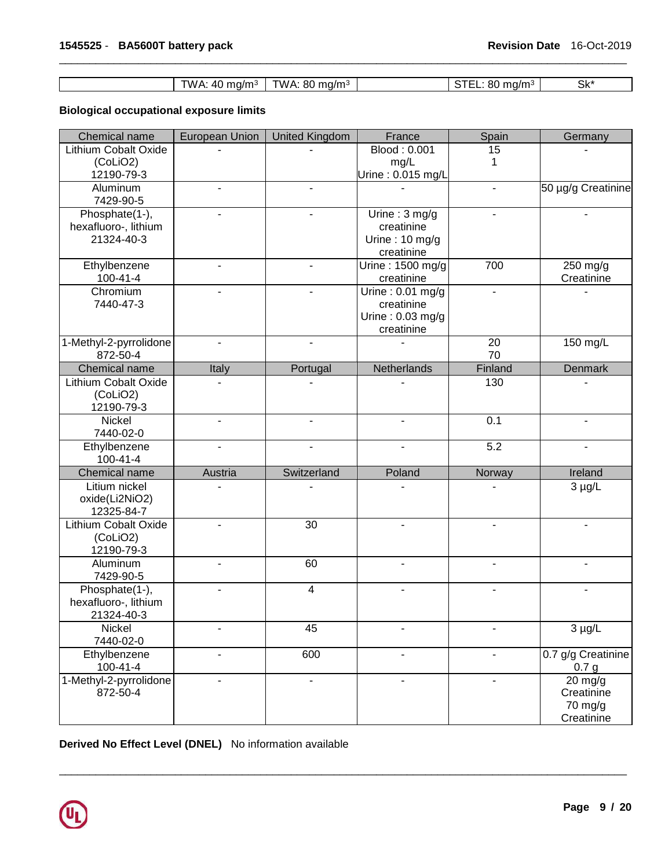| TWA: 40 mg/m <sup>3</sup>   TWA: 80 mg/m <sup>3</sup> |  | STEL: 80 mg/m <sup>3</sup> | Sk* |
|-------------------------------------------------------|--|----------------------------|-----|

# **Biological occupational exposure limits**

| Chemical name                      | <b>European Union</b> | <b>United Kingdom</b> | France                         | Spain                    | Germany                       |
|------------------------------------|-----------------------|-----------------------|--------------------------------|--------------------------|-------------------------------|
| Lithium Cobalt Oxide               |                       |                       | Blood: 0.001                   | 15                       |                               |
| (CoLiO2)                           |                       |                       | mg/L                           | 1                        |                               |
| 12190-79-3                         |                       |                       | Urine: 0.015 mg/L              |                          |                               |
| Aluminum<br>7429-90-5              |                       |                       |                                | $\blacksquare$           | 50 µg/g Creatinine            |
| Phosphate(1-),                     |                       |                       | Urine: $3 \text{ mg/g}$        |                          |                               |
| hexafluoro-, lithium               |                       |                       | creatinine                     |                          |                               |
| 21324-40-3                         |                       |                       | Urine: $10 \text{ mg/g}$       |                          |                               |
| Ethylbenzene                       |                       |                       | creatinine<br>Urine: 1500 mg/g | 700                      | 250 mg/g                      |
| $100 - 41 - 4$                     |                       |                       | creatinine                     |                          | Creatinine                    |
| Chromium                           |                       |                       | Urine: $0.01$ mg/g             |                          |                               |
| 7440-47-3                          |                       |                       | creatinine                     |                          |                               |
|                                    |                       |                       | Urine: $0.03$ mg/g             |                          |                               |
|                                    |                       |                       | creatinine                     |                          |                               |
| 1-Methyl-2-pyrrolidone<br>872-50-4 |                       |                       |                                | 20<br>70                 | 150 mg/L                      |
| Chemical name                      |                       |                       | Netherlands                    | Finland                  | Denmark                       |
| Lithium Cobalt Oxide               | Italy                 | Portugal              |                                | 130                      |                               |
| (CoLiO2)                           |                       |                       |                                |                          |                               |
| 12190-79-3                         |                       |                       |                                |                          |                               |
| Nickel                             |                       |                       |                                | 0.1                      |                               |
| 7440-02-0                          |                       |                       |                                |                          |                               |
| Ethylbenzene                       |                       |                       |                                | $\overline{5.2}$         |                               |
| $100 - 41 - 4$                     |                       |                       |                                |                          |                               |
| Chemical name                      | Austria               | Switzerland           | Poland                         | Norway                   | Ireland                       |
| Litium nickel                      |                       |                       |                                |                          | $3 \mu g/L$                   |
| oxide(Li2NiO2)                     |                       |                       |                                |                          |                               |
| 12325-84-7<br>Lithium Cobalt Oxide |                       | 30                    |                                |                          |                               |
| (CoLiO2)                           |                       |                       |                                |                          |                               |
| 12190-79-3                         |                       |                       |                                |                          |                               |
| Aluminum                           | $\blacksquare$        | 60                    | $\blacksquare$                 | $\blacksquare$           |                               |
| 7429-90-5                          |                       |                       |                                |                          |                               |
| Phosphate(1-),                     |                       | 4                     |                                |                          |                               |
| hexafluoro-, lithium               |                       |                       |                                |                          |                               |
| 21324-40-3                         |                       |                       |                                |                          |                               |
| Nickel                             |                       | 45                    |                                |                          | $3 \mu g/L$                   |
| 7440-02-0                          |                       |                       |                                |                          |                               |
| Ethylbenzene<br>100-41-4           | $\blacksquare$        | 600                   | $\blacksquare$                 | $\blacksquare$           | 0.7 g/g Creatinine            |
| 1-Methyl-2-pyrrolidone             |                       | $\blacksquare$        |                                | $\overline{\phantom{a}}$ | 0.7 <sub>g</sub><br>$20$ mg/g |
| 872-50-4                           |                       |                       |                                |                          | Creatinine                    |
|                                    |                       |                       |                                |                          | 70 mg/g                       |
|                                    |                       |                       |                                |                          | Creatinine                    |

\_\_\_\_\_\_\_\_\_\_\_\_\_\_\_\_\_\_\_\_\_\_\_\_\_\_\_\_\_\_\_\_\_\_\_\_\_\_\_\_\_\_\_\_\_\_\_\_\_\_\_\_\_\_\_\_\_\_\_\_\_\_\_\_\_\_\_\_\_\_\_\_\_\_\_\_\_\_\_\_\_\_\_\_\_\_\_\_\_\_\_\_\_

**Derived No Effect Level (DNEL)** No information available

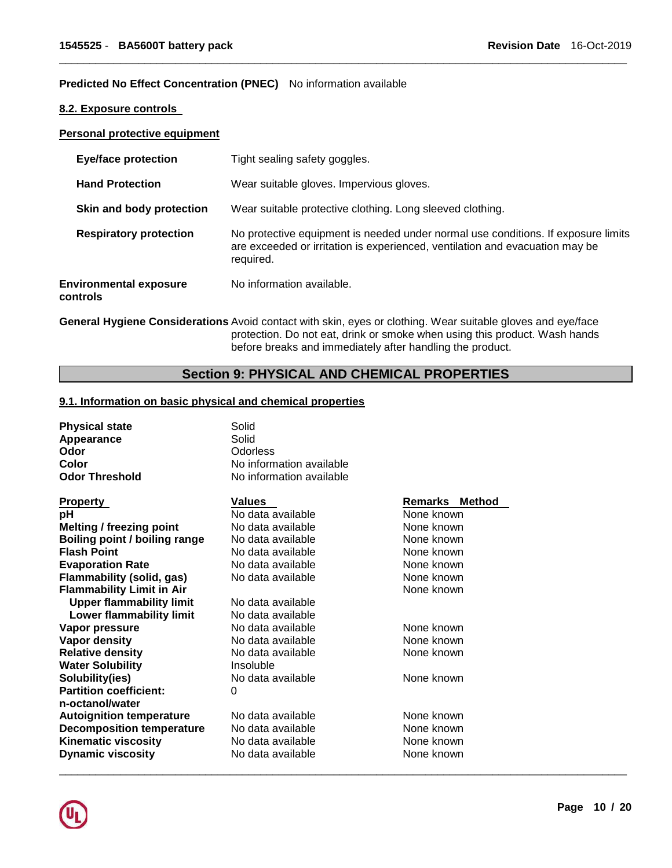#### **Predicted No Effect Concentration (PNEC)** No information available

### **8.2. Exposure controls**

#### **Personal protective equipment**

| <b>Eye/face protection</b>                | Tight sealing safety goggles.                                                                                                                                                  |
|-------------------------------------------|--------------------------------------------------------------------------------------------------------------------------------------------------------------------------------|
| <b>Hand Protection</b>                    | Wear suitable gloves. Impervious gloves.                                                                                                                                       |
| Skin and body protection                  | Wear suitable protective clothing. Long sleeved clothing.                                                                                                                      |
| <b>Respiratory protection</b>             | No protective equipment is needed under normal use conditions. If exposure limits<br>are exceeded or irritation is experienced, ventilation and evacuation may be<br>required. |
| <b>Environmental exposure</b><br>controls | No information available.                                                                                                                                                      |

\_\_\_\_\_\_\_\_\_\_\_\_\_\_\_\_\_\_\_\_\_\_\_\_\_\_\_\_\_\_\_\_\_\_\_\_\_\_\_\_\_\_\_\_\_\_\_\_\_\_\_\_\_\_\_\_\_\_\_\_\_\_\_\_\_\_\_\_\_\_\_\_\_\_\_\_\_\_\_\_\_\_\_\_\_\_\_\_\_\_\_\_\_

**General Hygiene Considerations** Avoid contact with skin, eyes or clothing. Wear suitable gloves and eye/face protection. Do not eat, drink or smoke when using this product. Wash hands before breaks and immediately after handling the product.

# **Section 9: PHYSICAL AND CHEMICAL PROPERTIES**

### **9.1. Information on basic physical and chemical properties**

| <b>Physical state</b>                | Solid                    |                       |  |  |
|--------------------------------------|--------------------------|-----------------------|--|--|
| Appearance                           | Solid                    |                       |  |  |
| Odor                                 | Odorless                 |                       |  |  |
| Color                                | No information available |                       |  |  |
| <b>Odor Threshold</b>                | No information available |                       |  |  |
| <b>Property</b>                      | <b>Values</b>            | <b>Remarks Method</b> |  |  |
| рH                                   | No data available        | None known            |  |  |
| <b>Melting / freezing point</b>      | No data available        | None known            |  |  |
| <b>Boiling point / boiling range</b> | No data available        | None known            |  |  |
| <b>Flash Point</b>                   | No data available        | None known            |  |  |
| <b>Evaporation Rate</b>              | No data available        | None known            |  |  |
| <b>Flammability (solid, gas)</b>     | No data available        | None known            |  |  |
| <b>Flammability Limit in Air</b>     |                          | None known            |  |  |
| <b>Upper flammability limit</b>      | No data available        |                       |  |  |
| Lower flammability limit             | No data available        |                       |  |  |
| Vapor pressure                       | No data available        | None known            |  |  |
| Vapor density                        | No data available        | None known            |  |  |
| <b>Relative density</b>              | No data available        | None known            |  |  |
| <b>Water Solubility</b>              | Insoluble                |                       |  |  |
| Solubility(ies)                      | No data available        | None known            |  |  |
| <b>Partition coefficient:</b>        | 0                        |                       |  |  |
| n-octanol/water                      |                          |                       |  |  |
| <b>Autoignition temperature</b>      | No data available        | None known            |  |  |
| <b>Decomposition temperature</b>     | No data available        | None known            |  |  |
| <b>Kinematic viscosity</b>           | No data available        | None known            |  |  |
| <b>Dynamic viscosity</b>             | No data available        | None known            |  |  |
|                                      |                          |                       |  |  |

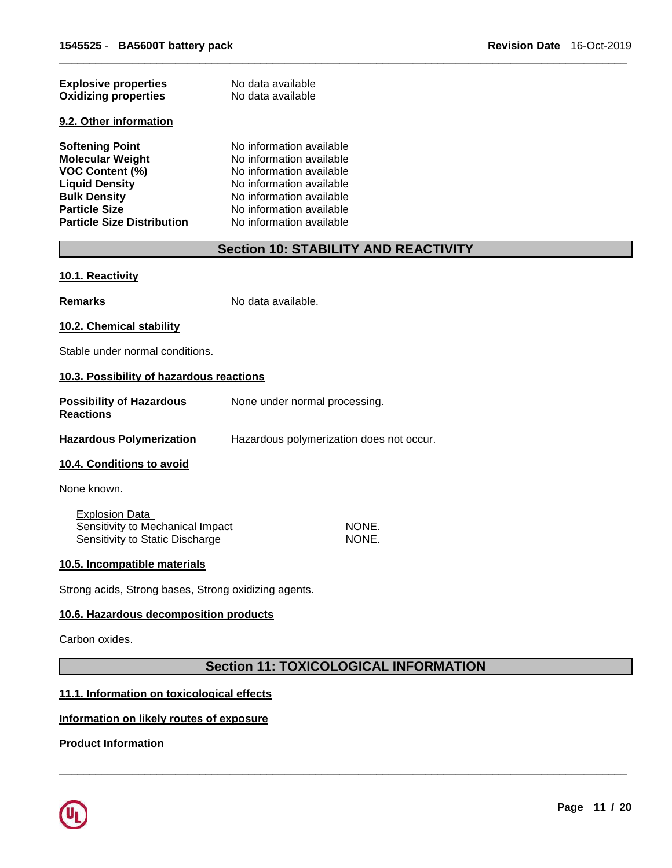| <b>Explosive properties</b><br><b>Oxidizing properties</b> | No data available<br>No data available |  |  |
|------------------------------------------------------------|----------------------------------------|--|--|
| 9.2. Other information                                     |                                        |  |  |
| <b>Softening Point</b>                                     | No information available               |  |  |
| <b>Molecular Weight</b>                                    | No information available               |  |  |
| <b>VOC Content (%)</b>                                     | No information available               |  |  |
| <b>Liquid Density</b>                                      | No information available               |  |  |
| <b>Bulk Density</b>                                        | No information available               |  |  |
| <b>Particle Size</b>                                       | No information available               |  |  |
| <b>Particle Size Distribution</b>                          | No information available               |  |  |

# **Section 10: STABILITY AND REACTIVITY**

\_\_\_\_\_\_\_\_\_\_\_\_\_\_\_\_\_\_\_\_\_\_\_\_\_\_\_\_\_\_\_\_\_\_\_\_\_\_\_\_\_\_\_\_\_\_\_\_\_\_\_\_\_\_\_\_\_\_\_\_\_\_\_\_\_\_\_\_\_\_\_\_\_\_\_\_\_\_\_\_\_\_\_\_\_\_\_\_\_\_\_\_\_

#### **10.1. Reactivity**

**Remarks** No data available.

#### **10.2. Chemical stability**

Stable under normal conditions.

#### **10.3. Possibility of hazardous reactions**

| <b>Possibility of Hazardous</b><br><b>Reactions</b>       | None under normal processing.            |
|-----------------------------------------------------------|------------------------------------------|
| <b>Hazardous Polymerization</b>                           | Hazardous polymerization does not occur. |
| <b>10.4. Conditions to avoid</b>                          |                                          |
| None known.                                               |                                          |
| <b>Explosion Data</b><br>Sensitivity to Mechanical Impact | NONE.                                    |

Sensitivity to Static Discharge NONE.

#### **10.5. Incompatible materials**

Strong acids, Strong bases, Strong oxidizing agents.

# **10.6. Hazardous decomposition products**

Carbon oxides.

# **Section 11: TOXICOLOGICAL INFORMATION**

\_\_\_\_\_\_\_\_\_\_\_\_\_\_\_\_\_\_\_\_\_\_\_\_\_\_\_\_\_\_\_\_\_\_\_\_\_\_\_\_\_\_\_\_\_\_\_\_\_\_\_\_\_\_\_\_\_\_\_\_\_\_\_\_\_\_\_\_\_\_\_\_\_\_\_\_\_\_\_\_\_\_\_\_\_\_\_\_\_\_\_\_\_

# **11.1. Information on toxicological effects**

### **Information on likely routes of exposure**

**Product Information** 

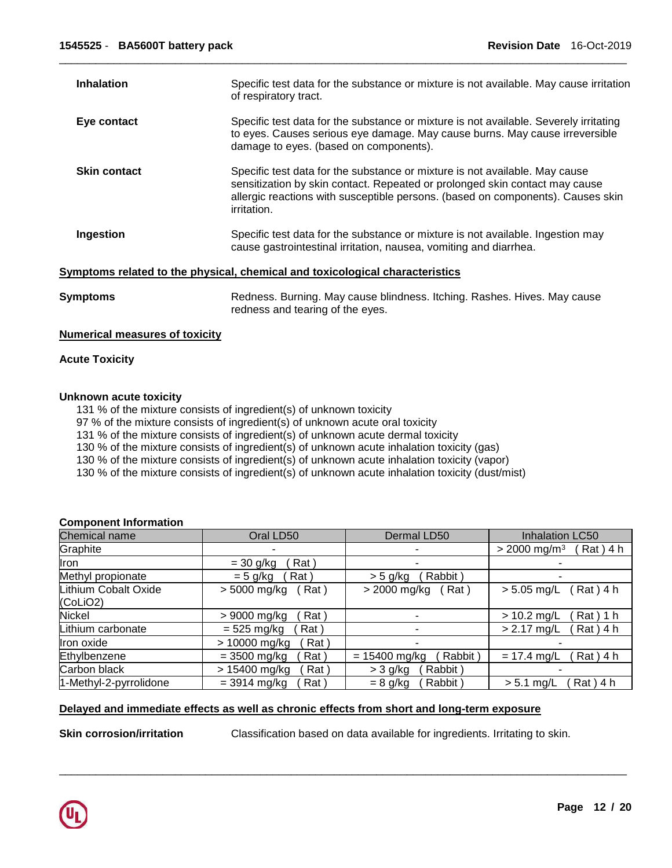| <b>Inhalation</b>   | Specific test data for the substance or mixture is not available. May cause irritation<br>of respiratory tract.                                                                                                                                                     |
|---------------------|---------------------------------------------------------------------------------------------------------------------------------------------------------------------------------------------------------------------------------------------------------------------|
| Eye contact         | Specific test data for the substance or mixture is not available. Severely irritating<br>to eyes. Causes serious eye damage. May cause burns. May cause irreversible<br>damage to eyes. (based on components).                                                      |
| <b>Skin contact</b> | Specific test data for the substance or mixture is not available. May cause<br>sensitization by skin contact. Repeated or prolonged skin contact may cause<br>allergic reactions with susceptible persons. (based on components). Causes skin<br><i>irritation.</i> |
| Ingestion           | Specific test data for the substance or mixture is not available. Ingestion may<br>cause gastrointestinal irritation, nausea, vomiting and diarrhea.                                                                                                                |
|                     | Symptoms related to the physical, chemical and toxicological characteristics                                                                                                                                                                                        |
| <b>Symptoms</b>     | Redness. Burning. May cause blindness. Itching. Rashes. Hives. May cause<br>redness and tearing of the eyes.                                                                                                                                                        |

# **Numerical measures of toxicity**

#### **Acute Toxicity**

# **Unknown acute toxicity**

131 % of the mixture consists of ingredient(s) of unknown toxicity

97 % of the mixture consists of ingredient(s) of unknown acute oral toxicity

131 % of the mixture consists of ingredient(s) of unknown acute dermal toxicity

130 % of the mixture consists of ingredient(s) of unknown acute inhalation toxicity (gas)

130 % of the mixture consists of ingredient(s) of unknown acute inhalation toxicity (vapor)

130 % of the mixture consists of ingredient(s) of unknown acute inhalation toxicity (dust/mist)

#### **Component Information**

| Chemical name          | Oral LD50              | Dermal LD50                | Inhalation LC50                          |
|------------------------|------------------------|----------------------------|------------------------------------------|
| Graphite               |                        |                            | $> 2000$ mg/m <sup>3</sup><br>$Rat)$ 4 h |
| llron                  | Rat \<br>$=$ 30 g/kg   |                            |                                          |
| Methyl propionate      | Rat)<br>$= 5$ g/kg     | Rabbit)<br>$>$ 5 g/kg      |                                          |
| Lithium Cobalt Oxide   | Rat)<br>> 5000 mg/kg   | > 2000 mg/kg<br>(Rat)      | (Rat) 4 h<br>$> 5.05$ mg/L               |
| (CoLiO2)               |                        |                            |                                          |
| <b>Nickel</b>          | Rat \<br>> 9000 mg/kg  |                            | $Rat)$ 1 h<br>$> 10.2$ mg/L              |
| Lithium carbonate      | $= 525$ mg/kg<br>Rat \ | ۰                          | $> 2.17$ mg/L<br>$Rat)$ 4 h              |
| Iron oxide             | > 10000 mg/kg<br>Rat)  |                            |                                          |
| Ethylbenzene           | $= 3500$ mg/kg<br>Rat) | Rabbit)<br>$= 15400$ mg/kg | $Rat)$ 4 h<br>$= 17.4$ mg/L              |
| Carbon black           | > 15400 mg/kg<br>Rat)  | $>$ 3 g/kg<br>Rabbit)      |                                          |
| 1-Methyl-2-pyrrolidone | $= 3914$ mg/kg<br>Rat  | Rabbit<br>$= 8$ g/kg       | $Rat)$ 4 h<br>$> 5.1$ mg/L               |

\_\_\_\_\_\_\_\_\_\_\_\_\_\_\_\_\_\_\_\_\_\_\_\_\_\_\_\_\_\_\_\_\_\_\_\_\_\_\_\_\_\_\_\_\_\_\_\_\_\_\_\_\_\_\_\_\_\_\_\_\_\_\_\_\_\_\_\_\_\_\_\_\_\_\_\_\_\_\_\_\_\_\_\_\_\_\_\_\_\_\_\_\_

# **Delayed and immediate effects as well as chronic effects from short and long-term exposure**

**Skin corrosion/irritation Classification based on data available for ingredients. Irritating to skin.** 

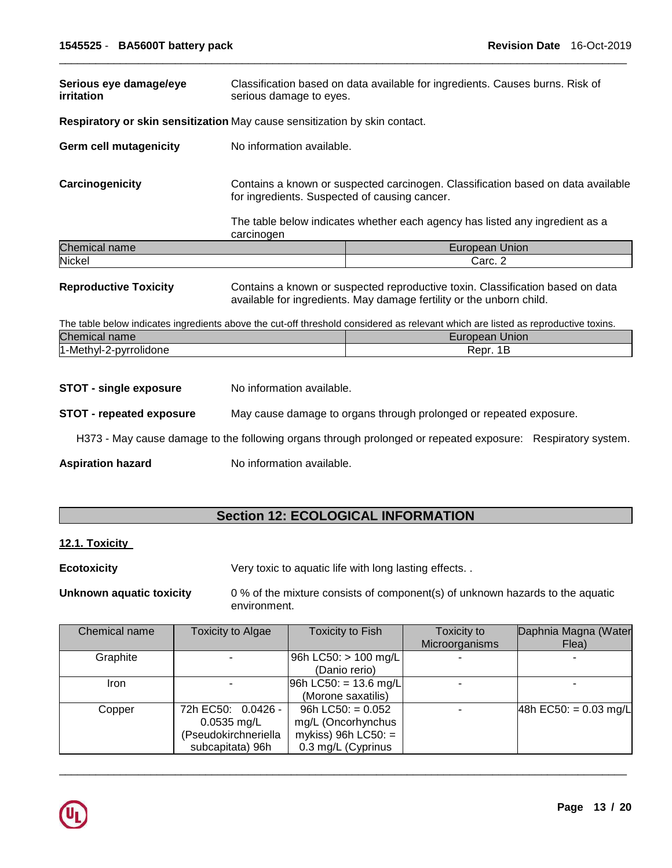| Serious eye damage/eye<br>irritation                                                                                                                                                   | Classification based on data available for ingredients. Causes burns. Risk of<br>serious damage to eyes.                                                                                                          |                                                                                                                                   |  |
|----------------------------------------------------------------------------------------------------------------------------------------------------------------------------------------|-------------------------------------------------------------------------------------------------------------------------------------------------------------------------------------------------------------------|-----------------------------------------------------------------------------------------------------------------------------------|--|
| Respiratory or skin sensitization May cause sensitization by skin contact.                                                                                                             |                                                                                                                                                                                                                   |                                                                                                                                   |  |
| <b>Germ cell mutagenicity</b>                                                                                                                                                          | No information available.                                                                                                                                                                                         |                                                                                                                                   |  |
| Carcinogenicity                                                                                                                                                                        | Contains a known or suspected carcinogen. Classification based on data available<br>for ingredients. Suspected of causing cancer.<br>The table below indicates whether each agency has listed any ingredient as a |                                                                                                                                   |  |
|                                                                                                                                                                                        | carcinogen                                                                                                                                                                                                        |                                                                                                                                   |  |
| Chemical name                                                                                                                                                                          |                                                                                                                                                                                                                   | European Union                                                                                                                    |  |
| Nickel                                                                                                                                                                                 |                                                                                                                                                                                                                   | Carc. 2                                                                                                                           |  |
| <b>Reproductive Toxicity</b><br>Contains a known or suspected reproductive toxin. Classification based on data<br>available for ingredients. May damage fertility or the unborn child. |                                                                                                                                                                                                                   |                                                                                                                                   |  |
|                                                                                                                                                                                        |                                                                                                                                                                                                                   | The table below indicates ingredients above the cut-off threshold considered as relevant which are listed as reproductive toxins. |  |
| Chemical name                                                                                                                                                                          |                                                                                                                                                                                                                   | European Union                                                                                                                    |  |
| 1-Methyl-2-pyrrolidone                                                                                                                                                                 |                                                                                                                                                                                                                   | Repr. 1B                                                                                                                          |  |

- **STOT single exposure** No information available.
- **STOT - repeated exposure** May cause damage to organs through prolonged or repeated exposure.

H373 - May cause damage to the following organs through prolonged or repeated exposure: Respiratory system.

Aspiration hazard **No information available.** 

# **Section 12: ECOLOGICAL INFORMATION**

# **12.1. Toxicity**

**Ecotoxicity Very toxic to aquatic life with long lasting effects...** 

**Unknown aquatic toxicity** 0 % of the mixture consists of component(s) of unknown hazards to the aquatic environment.

| Chemical name | Toxicity to Algae    | Toxicity to Fish         | Toxicity to    | Daphnia Magna (Water    |
|---------------|----------------------|--------------------------|----------------|-------------------------|
|               |                      |                          | Microorganisms | Flea)                   |
| Graphite      |                      | 96h LC50: > 100 mg/L     |                |                         |
|               |                      | (Danio rerio)            |                |                         |
| <b>Iron</b>   |                      | $ 96h$ LC50: = 13.6 mg/L |                |                         |
|               |                      | (Morone saxatilis)       |                |                         |
| Copper        | 72h EC50: 0.0426 -   | 96h LC50: $= 0.052$      |                | 48h EC50: = $0.03$ mg/L |
|               | $0.0535$ mg/L        | mg/L (Oncorhynchus       |                |                         |
|               | (Pseudokirchneriella | mykiss) 96h LC50: $=$    |                |                         |
|               | subcapitata) 96h     | 0.3 mg/L (Cyprinus       |                |                         |

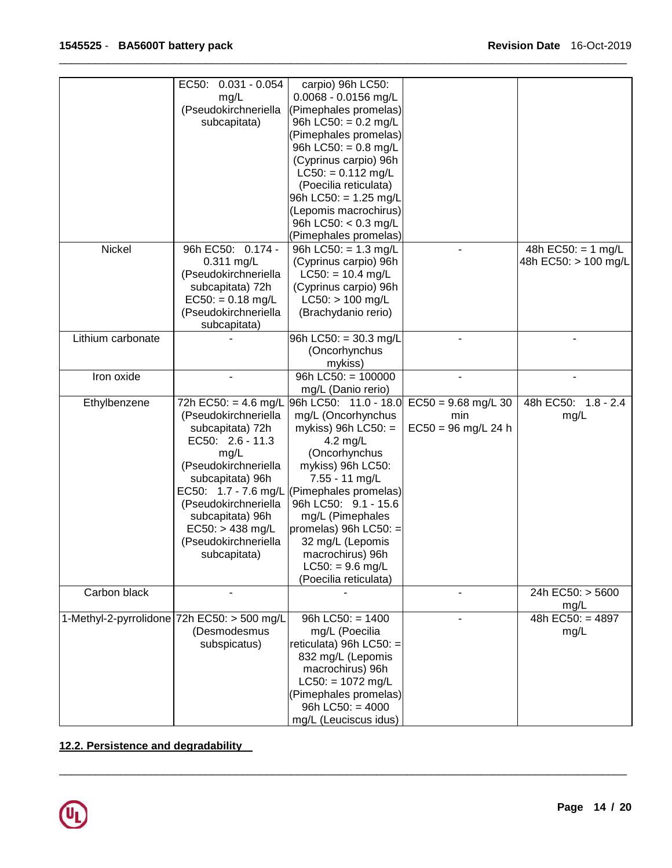| 0.0068 - 0.0156 mg/L<br>mg/L<br>(Pseudokirchneriella<br>(Pimephales promelas)<br>subcapitata)<br>96h LC50: = $0.2$ mg/L<br>(Pimephales promelas)<br>96h LC50: = $0.8$ mg/L<br>(Cyprinus carpio) 96h<br>$LC50: = 0.112$ mg/L<br>(Poecilia reticulata)<br>96h LC50: = 1.25 mg/L<br>(Lepomis macrochirus)<br>96h LC50: < 0.3 mg/L<br>(Pimephales promelas)<br>Nickel<br>96h EC50: 0.174 -<br>48h EC50: = $1$ mg/L<br>96h LC50: $= 1.3$ mg/L<br>0.311 mg/L<br>(Cyprinus carpio) 96h<br>48h EC50: > 100 mg/L<br>(Pseudokirchneriella<br>$LC50: = 10.4$ mg/L<br>(Cyprinus carpio) 96h<br>subcapitata) 72h<br>$LC50:$ > 100 mg/L<br>$EC50: = 0.18$ mg/L<br>(Pseudokirchneriella<br>(Brachydanio rerio)<br>subcapitata)<br>Lithium carbonate<br>96h LC50: = 30.3 mg/L<br>(Oncorhynchus<br>mykiss)<br>Iron oxide<br>96h LC50: $= 100000$<br>mg/L (Danio rerio)<br>$EC50 = 9.68$ mg/L 30<br>48h EC50: 1.8 - 2.4<br>Ethylbenzene<br>72h EC50: = 4.6 mg/L<br>96h LC50: 11.0 - 18.0<br>(Pseudokirchneriella<br>mg/L (Oncorhynchus<br>min<br>mg/L<br>subcapitata) 72h<br>mykiss) 96h LC50: $=$<br>$EC50 = 96$ mg/L 24 h<br>EC50: 2.6 - 11.3<br>4.2 mg/L<br>(Oncorhynchus<br>mg/L<br>(Pseudokirchneriella<br>mykiss) 96h LC50:<br>subcapitata) 96h<br>7.55 - 11 mg/L<br>EC50: 1.7 - 7.6 mg/L (Pimephales promelas)<br>96h LC50: 9.1 - 15.6<br>(Pseudokirchneriella<br>subcapitata) 96h<br>mg/L (Pimephales<br>$EC50: > 438$ mg/L<br>promelas) 96h LC50: $=$<br>(Pseudokirchneriella<br>32 mg/L (Lepomis<br>subcapitata)<br>macrochirus) 96h<br>$LC50: = 9.6$ mg/L<br>(Poecilia reticulata)<br>Carbon black<br>24h EC50: > 5600<br>mg/L<br>96h $LC50: = 1400$<br>48h EC50: = 4897<br>1-Methyl-2-pyrrolidone 72h EC50: > 500 mg/L<br>(Desmodesmus<br>mg/L (Poecilia<br>mg/L<br>reticulata) 96h LC50: =<br>subspicatus)<br>832 mg/L (Lepomis<br>macrochirus) 96h<br>$LC50: = 1072$ mg/L<br>(Pimephales promelas)<br>96h LC50: $= 4000$ |                          |                       |  |
|----------------------------------------------------------------------------------------------------------------------------------------------------------------------------------------------------------------------------------------------------------------------------------------------------------------------------------------------------------------------------------------------------------------------------------------------------------------------------------------------------------------------------------------------------------------------------------------------------------------------------------------------------------------------------------------------------------------------------------------------------------------------------------------------------------------------------------------------------------------------------------------------------------------------------------------------------------------------------------------------------------------------------------------------------------------------------------------------------------------------------------------------------------------------------------------------------------------------------------------------------------------------------------------------------------------------------------------------------------------------------------------------------------------------------------------------------------------------------------------------------------------------------------------------------------------------------------------------------------------------------------------------------------------------------------------------------------------------------------------------------------------------------------------------------------------------------------------------------------------------------------------------------------------------|--------------------------|-----------------------|--|
|                                                                                                                                                                                                                                                                                                                                                                                                                                                                                                                                                                                                                                                                                                                                                                                                                                                                                                                                                                                                                                                                                                                                                                                                                                                                                                                                                                                                                                                                                                                                                                                                                                                                                                                                                                                                                                                                                                                      | $0.031 - 0.054$<br>EC50: | carpio) 96h LC50:     |  |
|                                                                                                                                                                                                                                                                                                                                                                                                                                                                                                                                                                                                                                                                                                                                                                                                                                                                                                                                                                                                                                                                                                                                                                                                                                                                                                                                                                                                                                                                                                                                                                                                                                                                                                                                                                                                                                                                                                                      |                          |                       |  |
|                                                                                                                                                                                                                                                                                                                                                                                                                                                                                                                                                                                                                                                                                                                                                                                                                                                                                                                                                                                                                                                                                                                                                                                                                                                                                                                                                                                                                                                                                                                                                                                                                                                                                                                                                                                                                                                                                                                      |                          |                       |  |
|                                                                                                                                                                                                                                                                                                                                                                                                                                                                                                                                                                                                                                                                                                                                                                                                                                                                                                                                                                                                                                                                                                                                                                                                                                                                                                                                                                                                                                                                                                                                                                                                                                                                                                                                                                                                                                                                                                                      |                          |                       |  |
|                                                                                                                                                                                                                                                                                                                                                                                                                                                                                                                                                                                                                                                                                                                                                                                                                                                                                                                                                                                                                                                                                                                                                                                                                                                                                                                                                                                                                                                                                                                                                                                                                                                                                                                                                                                                                                                                                                                      |                          |                       |  |
|                                                                                                                                                                                                                                                                                                                                                                                                                                                                                                                                                                                                                                                                                                                                                                                                                                                                                                                                                                                                                                                                                                                                                                                                                                                                                                                                                                                                                                                                                                                                                                                                                                                                                                                                                                                                                                                                                                                      |                          |                       |  |
|                                                                                                                                                                                                                                                                                                                                                                                                                                                                                                                                                                                                                                                                                                                                                                                                                                                                                                                                                                                                                                                                                                                                                                                                                                                                                                                                                                                                                                                                                                                                                                                                                                                                                                                                                                                                                                                                                                                      |                          |                       |  |
|                                                                                                                                                                                                                                                                                                                                                                                                                                                                                                                                                                                                                                                                                                                                                                                                                                                                                                                                                                                                                                                                                                                                                                                                                                                                                                                                                                                                                                                                                                                                                                                                                                                                                                                                                                                                                                                                                                                      |                          |                       |  |
|                                                                                                                                                                                                                                                                                                                                                                                                                                                                                                                                                                                                                                                                                                                                                                                                                                                                                                                                                                                                                                                                                                                                                                                                                                                                                                                                                                                                                                                                                                                                                                                                                                                                                                                                                                                                                                                                                                                      |                          |                       |  |
|                                                                                                                                                                                                                                                                                                                                                                                                                                                                                                                                                                                                                                                                                                                                                                                                                                                                                                                                                                                                                                                                                                                                                                                                                                                                                                                                                                                                                                                                                                                                                                                                                                                                                                                                                                                                                                                                                                                      |                          |                       |  |
|                                                                                                                                                                                                                                                                                                                                                                                                                                                                                                                                                                                                                                                                                                                                                                                                                                                                                                                                                                                                                                                                                                                                                                                                                                                                                                                                                                                                                                                                                                                                                                                                                                                                                                                                                                                                                                                                                                                      |                          |                       |  |
|                                                                                                                                                                                                                                                                                                                                                                                                                                                                                                                                                                                                                                                                                                                                                                                                                                                                                                                                                                                                                                                                                                                                                                                                                                                                                                                                                                                                                                                                                                                                                                                                                                                                                                                                                                                                                                                                                                                      |                          |                       |  |
|                                                                                                                                                                                                                                                                                                                                                                                                                                                                                                                                                                                                                                                                                                                                                                                                                                                                                                                                                                                                                                                                                                                                                                                                                                                                                                                                                                                                                                                                                                                                                                                                                                                                                                                                                                                                                                                                                                                      |                          |                       |  |
|                                                                                                                                                                                                                                                                                                                                                                                                                                                                                                                                                                                                                                                                                                                                                                                                                                                                                                                                                                                                                                                                                                                                                                                                                                                                                                                                                                                                                                                                                                                                                                                                                                                                                                                                                                                                                                                                                                                      |                          |                       |  |
|                                                                                                                                                                                                                                                                                                                                                                                                                                                                                                                                                                                                                                                                                                                                                                                                                                                                                                                                                                                                                                                                                                                                                                                                                                                                                                                                                                                                                                                                                                                                                                                                                                                                                                                                                                                                                                                                                                                      |                          |                       |  |
|                                                                                                                                                                                                                                                                                                                                                                                                                                                                                                                                                                                                                                                                                                                                                                                                                                                                                                                                                                                                                                                                                                                                                                                                                                                                                                                                                                                                                                                                                                                                                                                                                                                                                                                                                                                                                                                                                                                      |                          |                       |  |
|                                                                                                                                                                                                                                                                                                                                                                                                                                                                                                                                                                                                                                                                                                                                                                                                                                                                                                                                                                                                                                                                                                                                                                                                                                                                                                                                                                                                                                                                                                                                                                                                                                                                                                                                                                                                                                                                                                                      |                          |                       |  |
|                                                                                                                                                                                                                                                                                                                                                                                                                                                                                                                                                                                                                                                                                                                                                                                                                                                                                                                                                                                                                                                                                                                                                                                                                                                                                                                                                                                                                                                                                                                                                                                                                                                                                                                                                                                                                                                                                                                      |                          |                       |  |
|                                                                                                                                                                                                                                                                                                                                                                                                                                                                                                                                                                                                                                                                                                                                                                                                                                                                                                                                                                                                                                                                                                                                                                                                                                                                                                                                                                                                                                                                                                                                                                                                                                                                                                                                                                                                                                                                                                                      |                          |                       |  |
|                                                                                                                                                                                                                                                                                                                                                                                                                                                                                                                                                                                                                                                                                                                                                                                                                                                                                                                                                                                                                                                                                                                                                                                                                                                                                                                                                                                                                                                                                                                                                                                                                                                                                                                                                                                                                                                                                                                      |                          |                       |  |
|                                                                                                                                                                                                                                                                                                                                                                                                                                                                                                                                                                                                                                                                                                                                                                                                                                                                                                                                                                                                                                                                                                                                                                                                                                                                                                                                                                                                                                                                                                                                                                                                                                                                                                                                                                                                                                                                                                                      |                          |                       |  |
|                                                                                                                                                                                                                                                                                                                                                                                                                                                                                                                                                                                                                                                                                                                                                                                                                                                                                                                                                                                                                                                                                                                                                                                                                                                                                                                                                                                                                                                                                                                                                                                                                                                                                                                                                                                                                                                                                                                      |                          |                       |  |
|                                                                                                                                                                                                                                                                                                                                                                                                                                                                                                                                                                                                                                                                                                                                                                                                                                                                                                                                                                                                                                                                                                                                                                                                                                                                                                                                                                                                                                                                                                                                                                                                                                                                                                                                                                                                                                                                                                                      |                          |                       |  |
|                                                                                                                                                                                                                                                                                                                                                                                                                                                                                                                                                                                                                                                                                                                                                                                                                                                                                                                                                                                                                                                                                                                                                                                                                                                                                                                                                                                                                                                                                                                                                                                                                                                                                                                                                                                                                                                                                                                      |                          |                       |  |
|                                                                                                                                                                                                                                                                                                                                                                                                                                                                                                                                                                                                                                                                                                                                                                                                                                                                                                                                                                                                                                                                                                                                                                                                                                                                                                                                                                                                                                                                                                                                                                                                                                                                                                                                                                                                                                                                                                                      |                          |                       |  |
|                                                                                                                                                                                                                                                                                                                                                                                                                                                                                                                                                                                                                                                                                                                                                                                                                                                                                                                                                                                                                                                                                                                                                                                                                                                                                                                                                                                                                                                                                                                                                                                                                                                                                                                                                                                                                                                                                                                      |                          |                       |  |
|                                                                                                                                                                                                                                                                                                                                                                                                                                                                                                                                                                                                                                                                                                                                                                                                                                                                                                                                                                                                                                                                                                                                                                                                                                                                                                                                                                                                                                                                                                                                                                                                                                                                                                                                                                                                                                                                                                                      |                          |                       |  |
|                                                                                                                                                                                                                                                                                                                                                                                                                                                                                                                                                                                                                                                                                                                                                                                                                                                                                                                                                                                                                                                                                                                                                                                                                                                                                                                                                                                                                                                                                                                                                                                                                                                                                                                                                                                                                                                                                                                      |                          |                       |  |
|                                                                                                                                                                                                                                                                                                                                                                                                                                                                                                                                                                                                                                                                                                                                                                                                                                                                                                                                                                                                                                                                                                                                                                                                                                                                                                                                                                                                                                                                                                                                                                                                                                                                                                                                                                                                                                                                                                                      |                          |                       |  |
|                                                                                                                                                                                                                                                                                                                                                                                                                                                                                                                                                                                                                                                                                                                                                                                                                                                                                                                                                                                                                                                                                                                                                                                                                                                                                                                                                                                                                                                                                                                                                                                                                                                                                                                                                                                                                                                                                                                      |                          |                       |  |
|                                                                                                                                                                                                                                                                                                                                                                                                                                                                                                                                                                                                                                                                                                                                                                                                                                                                                                                                                                                                                                                                                                                                                                                                                                                                                                                                                                                                                                                                                                                                                                                                                                                                                                                                                                                                                                                                                                                      |                          |                       |  |
|                                                                                                                                                                                                                                                                                                                                                                                                                                                                                                                                                                                                                                                                                                                                                                                                                                                                                                                                                                                                                                                                                                                                                                                                                                                                                                                                                                                                                                                                                                                                                                                                                                                                                                                                                                                                                                                                                                                      |                          |                       |  |
|                                                                                                                                                                                                                                                                                                                                                                                                                                                                                                                                                                                                                                                                                                                                                                                                                                                                                                                                                                                                                                                                                                                                                                                                                                                                                                                                                                                                                                                                                                                                                                                                                                                                                                                                                                                                                                                                                                                      |                          |                       |  |
|                                                                                                                                                                                                                                                                                                                                                                                                                                                                                                                                                                                                                                                                                                                                                                                                                                                                                                                                                                                                                                                                                                                                                                                                                                                                                                                                                                                                                                                                                                                                                                                                                                                                                                                                                                                                                                                                                                                      |                          |                       |  |
|                                                                                                                                                                                                                                                                                                                                                                                                                                                                                                                                                                                                                                                                                                                                                                                                                                                                                                                                                                                                                                                                                                                                                                                                                                                                                                                                                                                                                                                                                                                                                                                                                                                                                                                                                                                                                                                                                                                      |                          |                       |  |
|                                                                                                                                                                                                                                                                                                                                                                                                                                                                                                                                                                                                                                                                                                                                                                                                                                                                                                                                                                                                                                                                                                                                                                                                                                                                                                                                                                                                                                                                                                                                                                                                                                                                                                                                                                                                                                                                                                                      |                          |                       |  |
|                                                                                                                                                                                                                                                                                                                                                                                                                                                                                                                                                                                                                                                                                                                                                                                                                                                                                                                                                                                                                                                                                                                                                                                                                                                                                                                                                                                                                                                                                                                                                                                                                                                                                                                                                                                                                                                                                                                      |                          |                       |  |
|                                                                                                                                                                                                                                                                                                                                                                                                                                                                                                                                                                                                                                                                                                                                                                                                                                                                                                                                                                                                                                                                                                                                                                                                                                                                                                                                                                                                                                                                                                                                                                                                                                                                                                                                                                                                                                                                                                                      |                          |                       |  |
|                                                                                                                                                                                                                                                                                                                                                                                                                                                                                                                                                                                                                                                                                                                                                                                                                                                                                                                                                                                                                                                                                                                                                                                                                                                                                                                                                                                                                                                                                                                                                                                                                                                                                                                                                                                                                                                                                                                      |                          |                       |  |
|                                                                                                                                                                                                                                                                                                                                                                                                                                                                                                                                                                                                                                                                                                                                                                                                                                                                                                                                                                                                                                                                                                                                                                                                                                                                                                                                                                                                                                                                                                                                                                                                                                                                                                                                                                                                                                                                                                                      |                          |                       |  |
|                                                                                                                                                                                                                                                                                                                                                                                                                                                                                                                                                                                                                                                                                                                                                                                                                                                                                                                                                                                                                                                                                                                                                                                                                                                                                                                                                                                                                                                                                                                                                                                                                                                                                                                                                                                                                                                                                                                      |                          |                       |  |
|                                                                                                                                                                                                                                                                                                                                                                                                                                                                                                                                                                                                                                                                                                                                                                                                                                                                                                                                                                                                                                                                                                                                                                                                                                                                                                                                                                                                                                                                                                                                                                                                                                                                                                                                                                                                                                                                                                                      |                          |                       |  |
|                                                                                                                                                                                                                                                                                                                                                                                                                                                                                                                                                                                                                                                                                                                                                                                                                                                                                                                                                                                                                                                                                                                                                                                                                                                                                                                                                                                                                                                                                                                                                                                                                                                                                                                                                                                                                                                                                                                      |                          |                       |  |
|                                                                                                                                                                                                                                                                                                                                                                                                                                                                                                                                                                                                                                                                                                                                                                                                                                                                                                                                                                                                                                                                                                                                                                                                                                                                                                                                                                                                                                                                                                                                                                                                                                                                                                                                                                                                                                                                                                                      |                          |                       |  |
|                                                                                                                                                                                                                                                                                                                                                                                                                                                                                                                                                                                                                                                                                                                                                                                                                                                                                                                                                                                                                                                                                                                                                                                                                                                                                                                                                                                                                                                                                                                                                                                                                                                                                                                                                                                                                                                                                                                      |                          |                       |  |
|                                                                                                                                                                                                                                                                                                                                                                                                                                                                                                                                                                                                                                                                                                                                                                                                                                                                                                                                                                                                                                                                                                                                                                                                                                                                                                                                                                                                                                                                                                                                                                                                                                                                                                                                                                                                                                                                                                                      |                          |                       |  |
|                                                                                                                                                                                                                                                                                                                                                                                                                                                                                                                                                                                                                                                                                                                                                                                                                                                                                                                                                                                                                                                                                                                                                                                                                                                                                                                                                                                                                                                                                                                                                                                                                                                                                                                                                                                                                                                                                                                      |                          |                       |  |
|                                                                                                                                                                                                                                                                                                                                                                                                                                                                                                                                                                                                                                                                                                                                                                                                                                                                                                                                                                                                                                                                                                                                                                                                                                                                                                                                                                                                                                                                                                                                                                                                                                                                                                                                                                                                                                                                                                                      |                          |                       |  |
|                                                                                                                                                                                                                                                                                                                                                                                                                                                                                                                                                                                                                                                                                                                                                                                                                                                                                                                                                                                                                                                                                                                                                                                                                                                                                                                                                                                                                                                                                                                                                                                                                                                                                                                                                                                                                                                                                                                      |                          |                       |  |
|                                                                                                                                                                                                                                                                                                                                                                                                                                                                                                                                                                                                                                                                                                                                                                                                                                                                                                                                                                                                                                                                                                                                                                                                                                                                                                                                                                                                                                                                                                                                                                                                                                                                                                                                                                                                                                                                                                                      |                          |                       |  |
|                                                                                                                                                                                                                                                                                                                                                                                                                                                                                                                                                                                                                                                                                                                                                                                                                                                                                                                                                                                                                                                                                                                                                                                                                                                                                                                                                                                                                                                                                                                                                                                                                                                                                                                                                                                                                                                                                                                      |                          |                       |  |
|                                                                                                                                                                                                                                                                                                                                                                                                                                                                                                                                                                                                                                                                                                                                                                                                                                                                                                                                                                                                                                                                                                                                                                                                                                                                                                                                                                                                                                                                                                                                                                                                                                                                                                                                                                                                                                                                                                                      |                          | mg/L (Leuciscus idus) |  |

\_\_\_\_\_\_\_\_\_\_\_\_\_\_\_\_\_\_\_\_\_\_\_\_\_\_\_\_\_\_\_\_\_\_\_\_\_\_\_\_\_\_\_\_\_\_\_\_\_\_\_\_\_\_\_\_\_\_\_\_\_\_\_\_\_\_\_\_\_\_\_\_\_\_\_\_\_\_\_\_\_\_\_\_\_\_\_\_\_\_\_\_\_

# **12.2. Persistence and degradability**

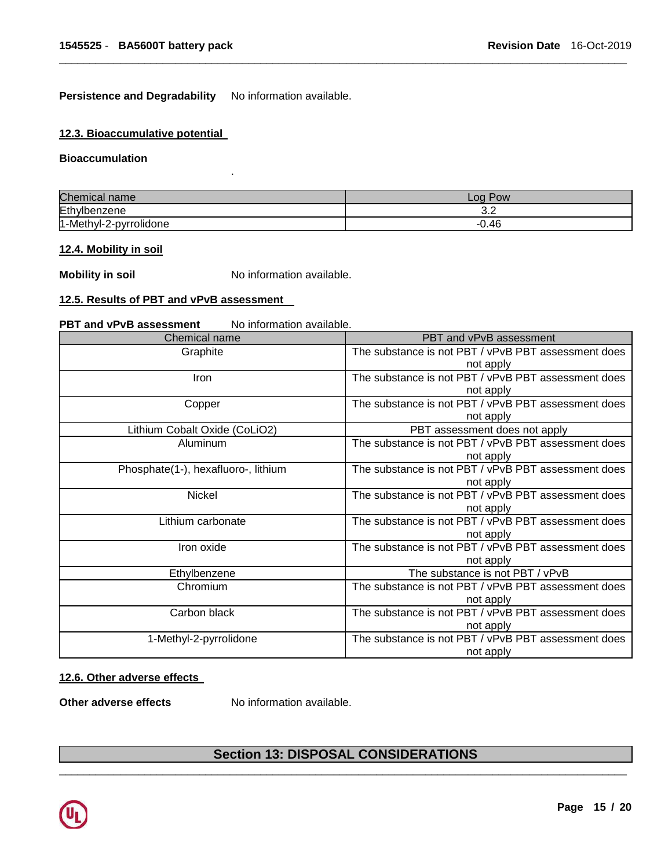Persistence and Degradability No information available.

.

# **12.3. Bioaccumulative potential**

#### **Bioaccumulation**

| Chemical               | Pow           |
|------------------------|---------------|
| name                   | $\sim$ 00     |
| Ethylb                 | $\sim$ $\sim$ |
| penzene                | J.Z           |
| 1-Methyl-2-pyrrolidone | $-0.46$       |

\_\_\_\_\_\_\_\_\_\_\_\_\_\_\_\_\_\_\_\_\_\_\_\_\_\_\_\_\_\_\_\_\_\_\_\_\_\_\_\_\_\_\_\_\_\_\_\_\_\_\_\_\_\_\_\_\_\_\_\_\_\_\_\_\_\_\_\_\_\_\_\_\_\_\_\_\_\_\_\_\_\_\_\_\_\_\_\_\_\_\_\_\_

#### **12.4. Mobility in soil**

**Mobility in soil No information available.** 

# **12.5. Results of PBT and vPvB assessment**

#### **PBT and vPvB assessment** No information available.

| Chemical name                       | PBT and vPvB assessment                             |
|-------------------------------------|-----------------------------------------------------|
| Graphite                            | The substance is not PBT / vPvB PBT assessment does |
|                                     | not apply                                           |
| <b>Iron</b>                         | The substance is not PBT / vPvB PBT assessment does |
|                                     | not apply                                           |
| Copper                              | The substance is not PBT / vPvB PBT assessment does |
|                                     | not apply                                           |
| Lithium Cobalt Oxide (CoLiO2)       | PBT assessment does not apply                       |
| Aluminum                            | The substance is not PBT / vPvB PBT assessment does |
|                                     | not apply                                           |
| Phosphate(1-), hexafluoro-, lithium | The substance is not PBT / vPvB PBT assessment does |
|                                     | not apply                                           |
| Nickel                              | The substance is not PBT / vPvB PBT assessment does |
|                                     | not apply                                           |
| Lithium carbonate                   | The substance is not PBT / vPvB PBT assessment does |
|                                     | not apply                                           |
| Iron oxide                          | The substance is not PBT / vPvB PBT assessment does |
|                                     | not apply                                           |
| Ethylbenzene                        | The substance is not PBT / vPvB                     |
| Chromium                            | The substance is not PBT / vPvB PBT assessment does |
|                                     | not apply                                           |
| Carbon black                        | The substance is not PBT / vPvB PBT assessment does |
|                                     | not apply                                           |
| 1-Methyl-2-pyrrolidone              | The substance is not PBT / vPvB PBT assessment does |
|                                     | not apply                                           |

# **12.6. Other adverse effects**

**Other adverse effects** No information available.

# \_\_\_\_\_\_\_\_\_\_\_\_\_\_\_\_\_\_\_\_\_\_\_\_\_\_\_\_\_\_\_\_\_\_\_\_\_\_\_\_\_\_\_\_\_\_\_\_\_\_\_\_\_\_\_\_\_\_\_\_\_\_\_\_\_\_\_\_\_\_\_\_\_\_\_\_\_\_\_\_\_\_\_\_\_\_\_\_\_\_\_\_\_ **Section 13: DISPOSAL CONSIDERATIONS**

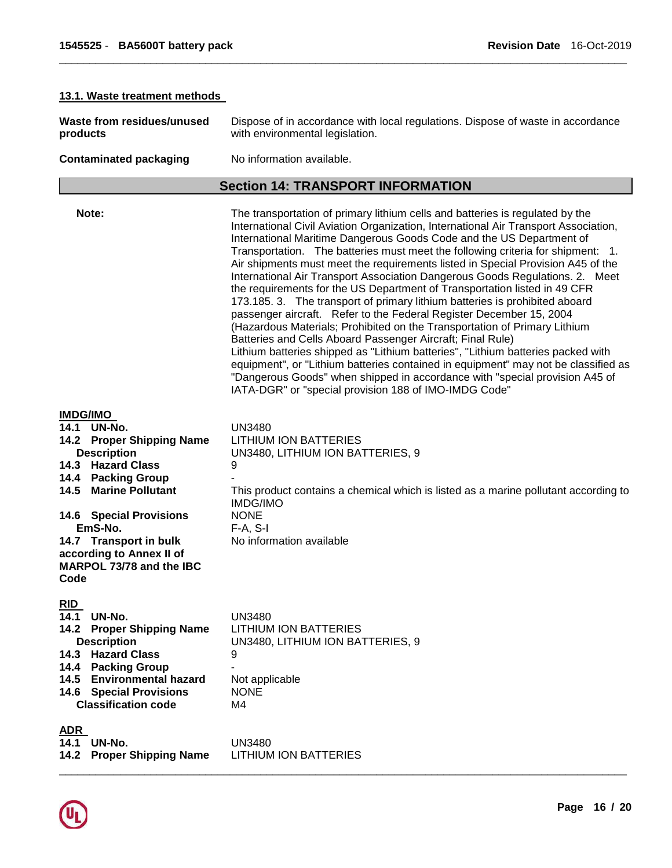| 13.1. Waste treatment methods                                                                                                                                                                                                                                                                             |                                                                                                                                                                                                                                                                                                                                                                                                                                                                                                                                                                                                                                                                                                                                                                                                                                                                                                                                                                                                                                                                                                                                                                                                    |  |
|-----------------------------------------------------------------------------------------------------------------------------------------------------------------------------------------------------------------------------------------------------------------------------------------------------------|----------------------------------------------------------------------------------------------------------------------------------------------------------------------------------------------------------------------------------------------------------------------------------------------------------------------------------------------------------------------------------------------------------------------------------------------------------------------------------------------------------------------------------------------------------------------------------------------------------------------------------------------------------------------------------------------------------------------------------------------------------------------------------------------------------------------------------------------------------------------------------------------------------------------------------------------------------------------------------------------------------------------------------------------------------------------------------------------------------------------------------------------------------------------------------------------------|--|
| Waste from residues/unused<br>products                                                                                                                                                                                                                                                                    | Dispose of in accordance with local regulations. Dispose of waste in accordance<br>with environmental legislation.                                                                                                                                                                                                                                                                                                                                                                                                                                                                                                                                                                                                                                                                                                                                                                                                                                                                                                                                                                                                                                                                                 |  |
| <b>Contaminated packaging</b>                                                                                                                                                                                                                                                                             | No information available.                                                                                                                                                                                                                                                                                                                                                                                                                                                                                                                                                                                                                                                                                                                                                                                                                                                                                                                                                                                                                                                                                                                                                                          |  |
|                                                                                                                                                                                                                                                                                                           | <b>Section 14: TRANSPORT INFORMATION</b>                                                                                                                                                                                                                                                                                                                                                                                                                                                                                                                                                                                                                                                                                                                                                                                                                                                                                                                                                                                                                                                                                                                                                           |  |
| Note:                                                                                                                                                                                                                                                                                                     | The transportation of primary lithium cells and batteries is regulated by the<br>International Civil Aviation Organization, International Air Transport Association,<br>International Maritime Dangerous Goods Code and the US Department of<br>Transportation. The batteries must meet the following criteria for shipment: 1.<br>Air shipments must meet the requirements listed in Special Provision A45 of the<br>International Air Transport Association Dangerous Goods Regulations. 2. Meet<br>the requirements for the US Department of Transportation listed in 49 CFR<br>173.185. 3. The transport of primary lithium batteries is prohibited aboard<br>passenger aircraft. Refer to the Federal Register December 15, 2004<br>(Hazardous Materials; Prohibited on the Transportation of Primary Lithium<br>Batteries and Cells Aboard Passenger Aircraft; Final Rule)<br>Lithium batteries shipped as "Lithium batteries", "Lithium batteries packed with<br>equipment", or "Lithium batteries contained in equipment" may not be classified as<br>"Dangerous Goods" when shipped in accordance with "special provision A45 of<br>IATA-DGR" or "special provision 188 of IMO-IMDG Code" |  |
| <b>IMDG/IMO</b><br>14.1<br>UN-No.<br>14.2 Proper Shipping Name<br><b>Description</b><br>14.3 Hazard Class<br>14.4 Packing Group<br><b>Marine Pollutant</b><br>14.5<br><b>14.6 Special Provisions</b><br>EmS-No.<br>14.7 Transport in bulk<br>according to Annex II of<br>MARPOL 73/78 and the IBC<br>Code | <b>UN3480</b><br><b>LITHIUM ION BATTERIES</b><br>UN3480, LITHIUM ION BATTERIES, 9<br>9<br>This product contains a chemical which is listed as a marine pollutant according to<br><b>IMDG/IMO</b><br><b>NONE</b><br>$F-A, S-I$<br>No information available                                                                                                                                                                                                                                                                                                                                                                                                                                                                                                                                                                                                                                                                                                                                                                                                                                                                                                                                          |  |
| <u>RID</u><br>14.1 UN-No.<br><b>Proper Shipping Name</b><br>14.2<br><b>Description</b><br>14.3 Hazard Class<br>14.4 Packing Group<br>14.5 Environmental hazard<br><b>14.6 Special Provisions</b><br><b>Classification code</b>                                                                            | <b>UN3480</b><br><b>LITHIUM ION BATTERIES</b><br>UN3480, LITHIUM ION BATTERIES, 9<br>9<br>Not applicable<br><b>NONE</b><br>M4                                                                                                                                                                                                                                                                                                                                                                                                                                                                                                                                                                                                                                                                                                                                                                                                                                                                                                                                                                                                                                                                      |  |
| <b>ADR</b>                                                                                                                                                                                                                                                                                                |                                                                                                                                                                                                                                                                                                                                                                                                                                                                                                                                                                                                                                                                                                                                                                                                                                                                                                                                                                                                                                                                                                                                                                                                    |  |

# **ADR**

**14.1 UN-No.** UN3480

**14.2 Proper Shipping Name** LITHIUM ION BATTERIES

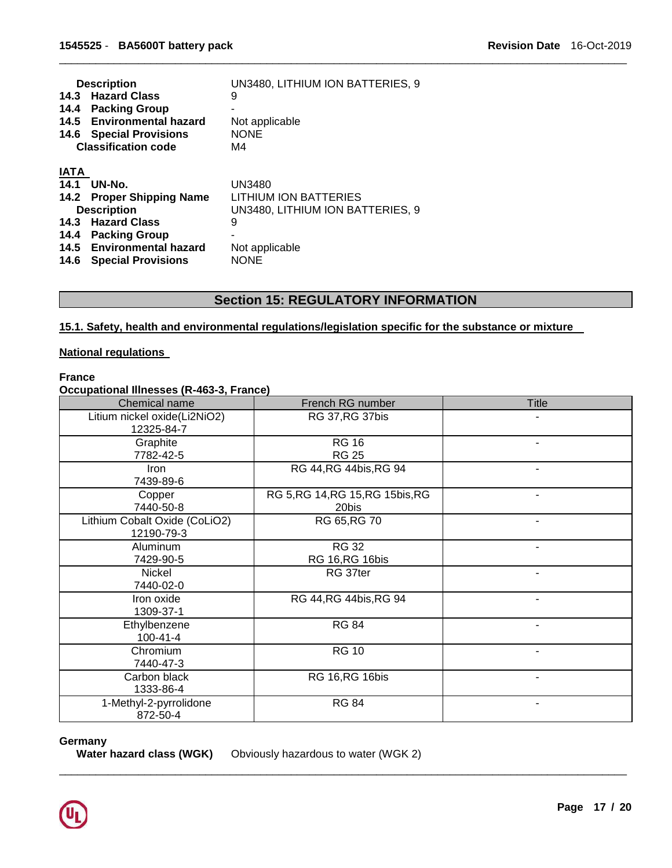|             | <b>Description</b><br>14.3 Hazard Class<br>14.4 Packing Group<br>14.5 Environmental hazard<br><b>14.6 Special Provisions</b><br><b>Classification code</b> | UN3480, LITHIUM ION BATTERIES, 9<br>9<br>Not applicable<br><b>NONE</b><br>M4 |
|-------------|------------------------------------------------------------------------------------------------------------------------------------------------------------|------------------------------------------------------------------------------|
| <b>IATA</b> |                                                                                                                                                            |                                                                              |
| 14.1        | UN-No.                                                                                                                                                     | <b>UN3480</b>                                                                |
| 14.2        | <b>Proper Shipping Name</b>                                                                                                                                | LITHIUM ION BATTERIES                                                        |
|             | <b>Description</b>                                                                                                                                         | UN3480, LITHIUM ION BATTERIES, 9                                             |
|             | 14.3 Hazard Class                                                                                                                                          | 9                                                                            |
| 14.4        | <b>Packing Group</b>                                                                                                                                       |                                                                              |
|             | 14.5 Environmental hazard                                                                                                                                  | Not applicable                                                               |
| 14.6        | <b>Special Provisions</b>                                                                                                                                  | <b>NONE</b>                                                                  |

# **Section 15: REGULATORY INFORMATION**

\_\_\_\_\_\_\_\_\_\_\_\_\_\_\_\_\_\_\_\_\_\_\_\_\_\_\_\_\_\_\_\_\_\_\_\_\_\_\_\_\_\_\_\_\_\_\_\_\_\_\_\_\_\_\_\_\_\_\_\_\_\_\_\_\_\_\_\_\_\_\_\_\_\_\_\_\_\_\_\_\_\_\_\_\_\_\_\_\_\_\_\_\_

# **15.1. Safety, health and environmental regulations/legislation specific for the substance or mixture**

### **National regulations**

# **France**

# **Occupational Illnesses (R-463-3, France)**

| Chemical name                               | French RG number                           | <b>Title</b> |
|---------------------------------------------|--------------------------------------------|--------------|
| Litium nickel oxide(Li2NiO2)<br>12325-84-7  | RG 37, RG 37bis                            |              |
| Graphite<br>7782-42-5                       | <b>RG 16</b><br><b>RG 25</b>               |              |
| Iron<br>7439-89-6                           | RG 44, RG 44 bis, RG 94                    |              |
| Copper<br>7440-50-8                         | RG 5, RG 14, RG 15, RG 15 bis, RG<br>20bis |              |
| Lithium Cobalt Oxide (CoLiO2)<br>12190-79-3 | RG 65, RG 70                               |              |
| Aluminum<br>7429-90-5                       | <b>RG 32</b><br>RG 16, RG 16bis            |              |
| Nickel<br>7440-02-0                         | RG 37ter                                   | ۰            |
| Iron oxide<br>1309-37-1                     | RG 44, RG 44 bis, RG 94                    | ۰            |
| Ethylbenzene<br>$100 - 41 - 4$              | <b>RG 84</b>                               |              |
| Chromium<br>7440-47-3                       | <b>RG 10</b>                               | -            |
| Carbon black<br>1333-86-4                   | RG 16, RG 16bis                            | -            |
| 1-Methyl-2-pyrrolidone<br>872-50-4          | <b>RG 84</b>                               | -            |

\_\_\_\_\_\_\_\_\_\_\_\_\_\_\_\_\_\_\_\_\_\_\_\_\_\_\_\_\_\_\_\_\_\_\_\_\_\_\_\_\_\_\_\_\_\_\_\_\_\_\_\_\_\_\_\_\_\_\_\_\_\_\_\_\_\_\_\_\_\_\_\_\_\_\_\_\_\_\_\_\_\_\_\_\_\_\_\_\_\_\_\_\_

#### **Germany**

**Water hazard class (WGK)** Obviously hazardous to water (WGK 2)

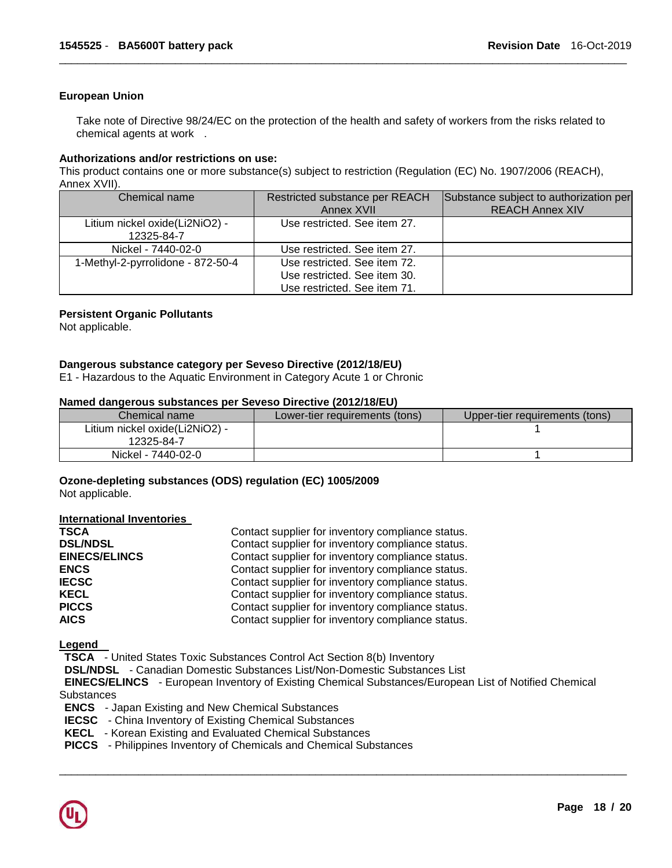#### **European Union**

Take note of Directive 98/24/EC on the protection of the health and safety of workers from the risks related to chemical agents at work .

\_\_\_\_\_\_\_\_\_\_\_\_\_\_\_\_\_\_\_\_\_\_\_\_\_\_\_\_\_\_\_\_\_\_\_\_\_\_\_\_\_\_\_\_\_\_\_\_\_\_\_\_\_\_\_\_\_\_\_\_\_\_\_\_\_\_\_\_\_\_\_\_\_\_\_\_\_\_\_\_\_\_\_\_\_\_\_\_\_\_\_\_\_

#### **Authorizations and/or restrictions on use:**

This product contains one or more substance(s) subject to restriction (Regulation (EC) No. 1907/2006 (REACH), Annex XVII).

| Chemical name                                | Restricted substance per REACH<br>Annex XVII                                                 | Substance subject to authorization per<br><b>REACH Annex XIV</b> |
|----------------------------------------------|----------------------------------------------------------------------------------------------|------------------------------------------------------------------|
| Litium nickel oxide(Li2NiO2) -<br>12325-84-7 | Use restricted. See item 27.                                                                 |                                                                  |
| Nickel - 7440-02-0                           | Use restricted. See item 27.                                                                 |                                                                  |
| 1-Methyl-2-pyrrolidone - 872-50-4            | Use restricted. See item 72.<br>Use restricted. See item 30.<br>Use restricted. See item 71. |                                                                  |

#### **Persistent Organic Pollutants**

Not applicable.

#### **Dangerous substance category per Seveso Directive (2012/18/EU)**

E1 - Hazardous to the Aquatic Environment in Category Acute 1 or Chronic

#### **Named dangerous substances per Seveso Directive (2012/18/EU)**

| Chemical name                  | Lower-tier requirements (tons) | Upper-tier requirements (tons) |
|--------------------------------|--------------------------------|--------------------------------|
| Litium nickel oxide(Li2NiO2) - |                                |                                |
| 12325-84-7                     |                                |                                |
| Nickel - 7440-02-0             |                                |                                |

#### **Ozone-depleting substances (ODS) regulation (EC) 1005/2009**

Not applicable.

#### **International Inventories**

| <b>TSCA</b>          | Contact supplier for inventory compliance status. |
|----------------------|---------------------------------------------------|
| <b>DSL/NDSL</b>      | Contact supplier for inventory compliance status. |
| <b>EINECS/ELINCS</b> | Contact supplier for inventory compliance status. |
| <b>ENCS</b>          | Contact supplier for inventory compliance status. |
| <b>IECSC</b>         | Contact supplier for inventory compliance status. |
| <b>KECL</b>          | Contact supplier for inventory compliance status. |
| <b>PICCS</b>         | Contact supplier for inventory compliance status. |
| <b>AICS</b>          | Contact supplier for inventory compliance status. |

**Legend** 

**TSCA** - United States Toxic Substances Control Act Section 8(b) Inventory

**DSL/NDSL** - Canadian Domestic Substances List/Non-Domestic Substances List

 **EINECS/ELINCS** - European Inventory of Existing Chemical Substances/European List of Notified Chemical **Substances** 

- **ENCS**  Japan Existing and New Chemical Substances
- **IECSC**  China Inventory of Existing Chemical Substances
- **KECL**  Korean Existing and Evaluated Chemical Substances
- **PICCS**  Philippines Inventory of Chemicals and Chemical Substances

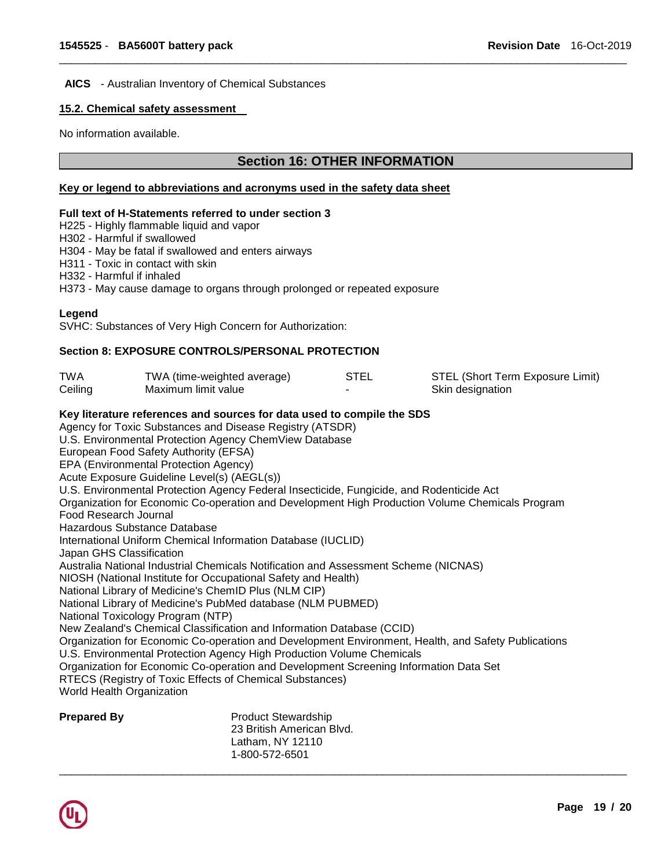#### **AICS** - Australian Inventory of Chemical Substances

# **15.2. Chemical safety assessment**

No information available.

# **Section 16: OTHER INFORMATION**

\_\_\_\_\_\_\_\_\_\_\_\_\_\_\_\_\_\_\_\_\_\_\_\_\_\_\_\_\_\_\_\_\_\_\_\_\_\_\_\_\_\_\_\_\_\_\_\_\_\_\_\_\_\_\_\_\_\_\_\_\_\_\_\_\_\_\_\_\_\_\_\_\_\_\_\_\_\_\_\_\_\_\_\_\_\_\_\_\_\_\_\_\_

#### **Key or legend to abbreviations and acronyms used in the safety data sheet**

#### **Full text of H-Statements referred to under section 3**

H225 - Highly flammable liquid and vapor

H302 - Harmful if swallowed

H304 - May be fatal if swallowed and enters airways

H311 - Toxic in contact with skin

H332 - Harmful if inhaled

H373 - May cause damage to organs through prolonged or repeated exposure

# **Legend**

SVHC: Substances of Very High Concern for Authorization:

# **Section 8: EXPOSURE CONTROLS/PERSONAL PROTECTION**

| TWA                   | TWA (time-weighted average)                                                              |                            | <b>STEL</b> | STEL (Short Term Exposure Limit)                                                                    |
|-----------------------|------------------------------------------------------------------------------------------|----------------------------|-------------|-----------------------------------------------------------------------------------------------------|
| Ceiling               | Maximum limit value                                                                      |                            |             | Skin designation                                                                                    |
|                       | Key literature references and sources for data used to compile the SDS                   |                            |             |                                                                                                     |
|                       | Agency for Toxic Substances and Disease Registry (ATSDR)                                 |                            |             |                                                                                                     |
|                       | U.S. Environmental Protection Agency ChemView Database                                   |                            |             |                                                                                                     |
|                       | European Food Safety Authority (EFSA)                                                    |                            |             |                                                                                                     |
|                       | EPA (Environmental Protection Agency)                                                    |                            |             |                                                                                                     |
|                       | Acute Exposure Guideline Level(s) (AEGL(s))                                              |                            |             |                                                                                                     |
|                       | U.S. Environmental Protection Agency Federal Insecticide, Fungicide, and Rodenticide Act |                            |             |                                                                                                     |
|                       |                                                                                          |                            |             | Organization for Economic Co-operation and Development High Production Volume Chemicals Program     |
| Food Research Journal |                                                                                          |                            |             |                                                                                                     |
|                       | Hazardous Substance Database                                                             |                            |             |                                                                                                     |
|                       | International Uniform Chemical Information Database (IUCLID)                             |                            |             |                                                                                                     |
|                       | Japan GHS Classification                                                                 |                            |             |                                                                                                     |
|                       | Australia National Industrial Chemicals Notification and Assessment Scheme (NICNAS)      |                            |             |                                                                                                     |
|                       | NIOSH (National Institute for Occupational Safety and Health)                            |                            |             |                                                                                                     |
|                       | National Library of Medicine's ChemID Plus (NLM CIP)                                     |                            |             |                                                                                                     |
|                       | National Library of Medicine's PubMed database (NLM PUBMED)                              |                            |             |                                                                                                     |
|                       | National Toxicology Program (NTP)                                                        |                            |             |                                                                                                     |
|                       | New Zealand's Chemical Classification and Information Database (CCID)                    |                            |             |                                                                                                     |
|                       |                                                                                          |                            |             | Organization for Economic Co-operation and Development Environment, Health, and Safety Publications |
|                       | U.S. Environmental Protection Agency High Production Volume Chemicals                    |                            |             |                                                                                                     |
|                       | Organization for Economic Co-operation and Development Screening Information Data Set    |                            |             |                                                                                                     |
|                       | RTECS (Registry of Toxic Effects of Chemical Substances)                                 |                            |             |                                                                                                     |
|                       | <b>World Health Organization</b>                                                         |                            |             |                                                                                                     |
| <b>Prepared By</b>    |                                                                                          | <b>Product Stewardship</b> |             |                                                                                                     |
|                       |                                                                                          | 23 British American Blvd.  |             |                                                                                                     |
|                       |                                                                                          | Latham, NY 12110           |             |                                                                                                     |
|                       |                                                                                          | 1-800-572-6501             |             |                                                                                                     |